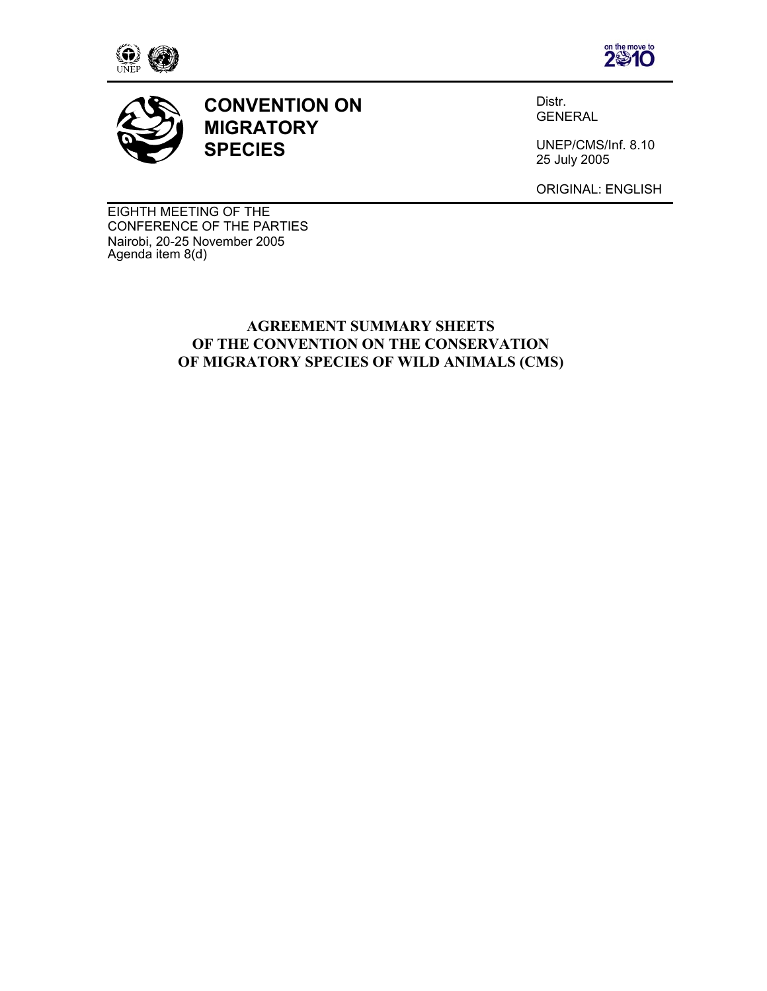





**CONVENTION ON MIGRATORY SPECIES**

Distr. GENERAL

UNEP/CMS/Inf. 8.10 25 July 2005

ORIGINAL: ENGLISH

EIGHTH MEETING OF THE CONFERENCE OF THE PARTIES Nairobi, 20-25 November 2005 Agenda item 8(d)

#### **AGREEMENT SUMMARY SHEETS OF THE CONVENTION ON THE CONSERVATION OF MIGRATORY SPECIES OF WILD ANIMALS (CMS)**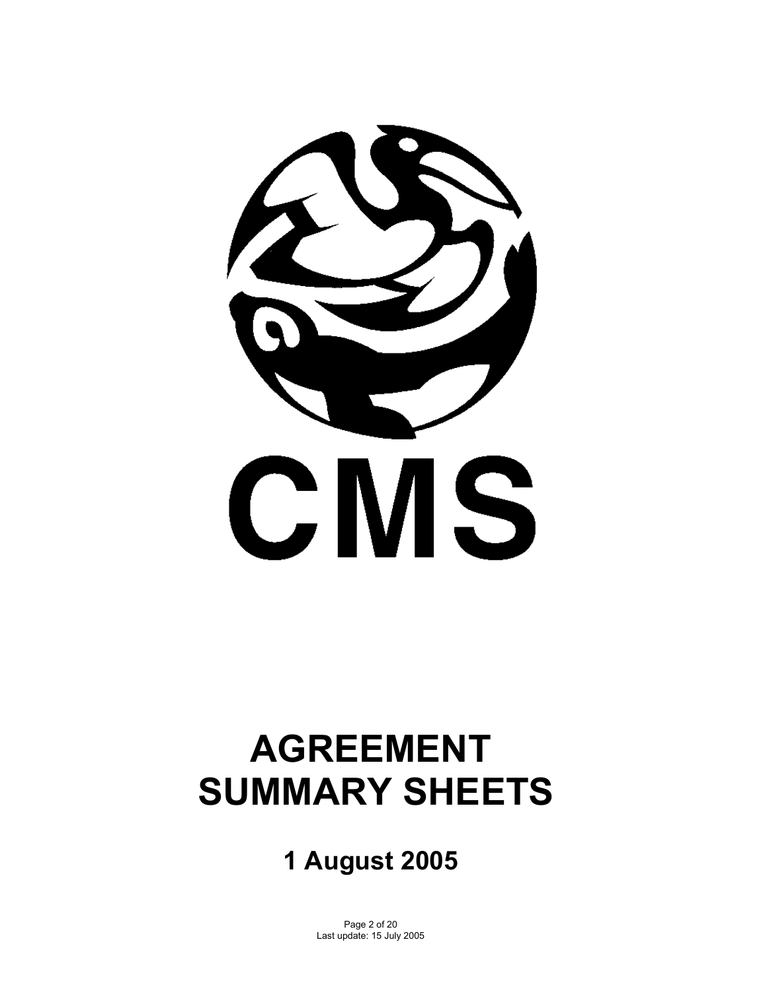

# **AGREEMENT SUMMARY SHEETS**

# **1 August 2005**

Page 2 of 20 Last update: 15 July 2005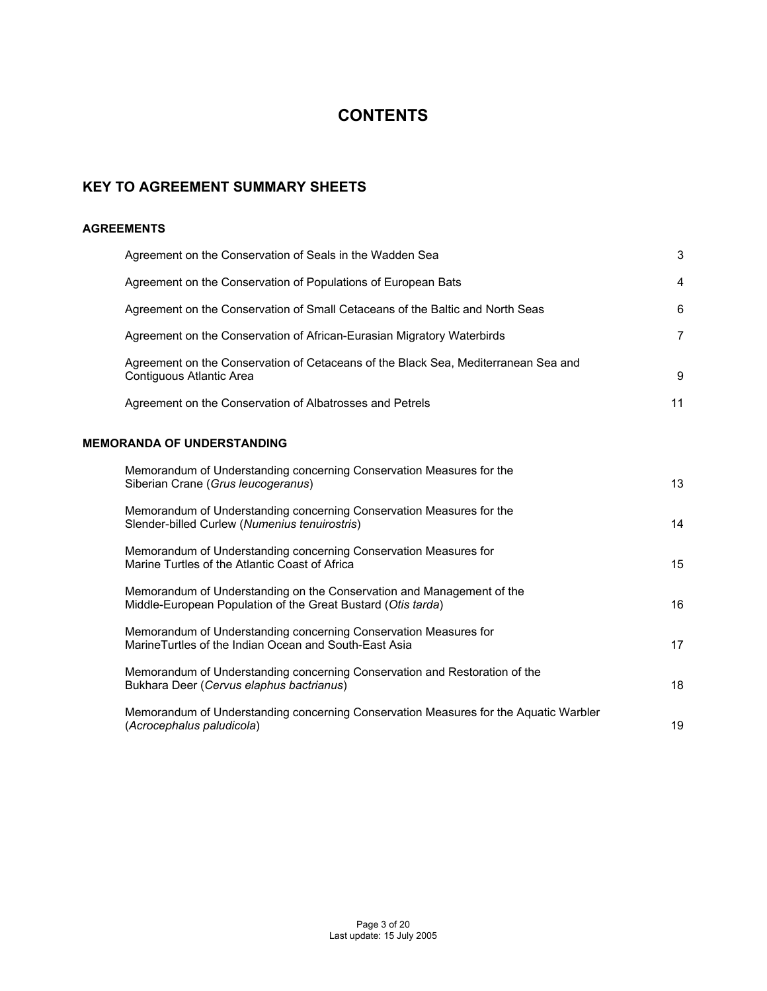## **CONTENTS**

#### **KEY TO AGREEMENT SUMMARY SHEETS**

#### **AGREEMENTS**

| Agreement on the Conservation of Seals in the Wadden Sea                                                                              | 3              |
|---------------------------------------------------------------------------------------------------------------------------------------|----------------|
| Agreement on the Conservation of Populations of European Bats                                                                         | 4              |
| Agreement on the Conservation of Small Cetaceans of the Baltic and North Seas                                                         | 6              |
| Agreement on the Conservation of African-Eurasian Migratory Waterbirds                                                                | $\overline{7}$ |
| Agreement on the Conservation of Cetaceans of the Black Sea, Mediterranean Sea and<br>Contiguous Atlantic Area                        | 9              |
| Agreement on the Conservation of Albatrosses and Petrels                                                                              | 11             |
| <b>MEMORANDA OF UNDERSTANDING</b>                                                                                                     |                |
| Memorandum of Understanding concerning Conservation Measures for the<br>Siberian Crane (Grus leucogeranus)                            | 13             |
| Memorandum of Understanding concerning Conservation Measures for the<br>Slender-billed Curlew (Numenius tenuirostris)                 | 14             |
| Memorandum of Understanding concerning Conservation Measures for<br>Marine Turtles of the Atlantic Coast of Africa                    | 15             |
| Memorandum of Understanding on the Conservation and Management of the<br>Middle-European Population of the Great Bustard (Otis tarda) | 16             |
| Memorandum of Understanding concerning Conservation Measures for<br>Marine Turtles of the Indian Ocean and South-East Asia            | 17             |
| Memorandum of Understanding concerning Conservation and Restoration of the<br>Bukhara Deer (Cervus elaphus bactrianus)                | 18             |
| Memorandum of Understanding concerning Conservation Measures for the Aquatic Warbler<br>(Acrocephalus paludicola)                     | 19             |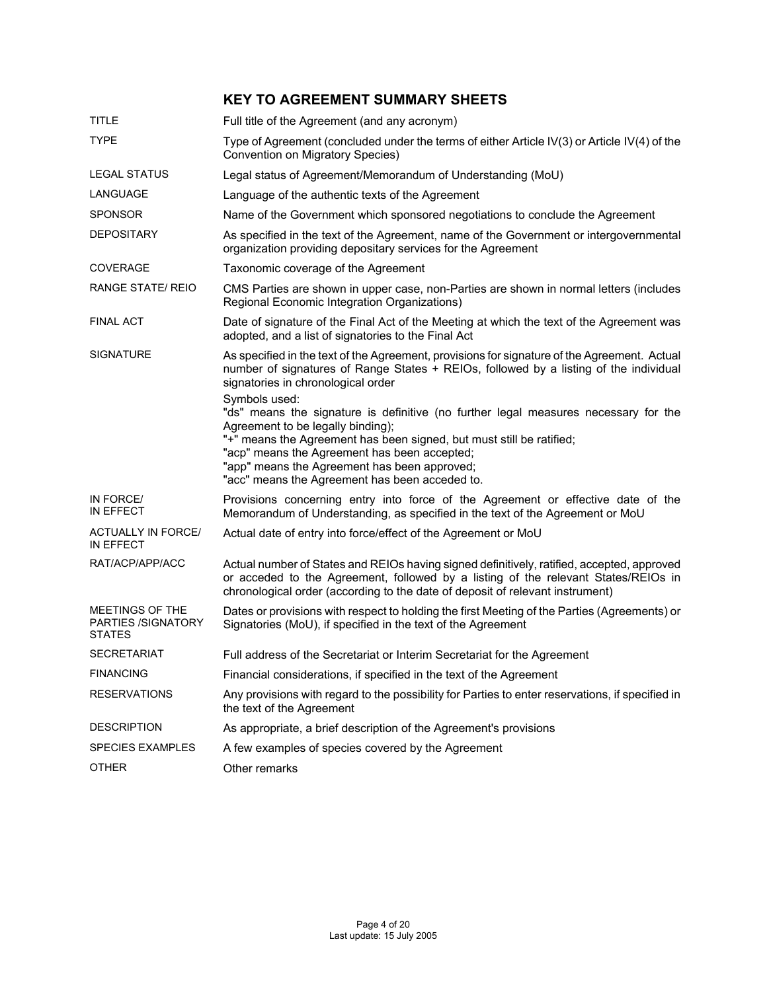### **KEY TO AGREEMENT SUMMARY SHEETS**

| <b>TITLE</b>                                           | Full title of the Agreement (and any acronym)                                                                                                                                                                                                                                                    |
|--------------------------------------------------------|--------------------------------------------------------------------------------------------------------------------------------------------------------------------------------------------------------------------------------------------------------------------------------------------------|
| <b>TYPE</b>                                            | Type of Agreement (concluded under the terms of either Article IV(3) or Article IV(4) of the<br>Convention on Migratory Species)                                                                                                                                                                 |
| <b>LEGAL STATUS</b>                                    | Legal status of Agreement/Memorandum of Understanding (MoU)                                                                                                                                                                                                                                      |
| LANGUAGE                                               | Language of the authentic texts of the Agreement                                                                                                                                                                                                                                                 |
| <b>SPONSOR</b>                                         | Name of the Government which sponsored negotiations to conclude the Agreement                                                                                                                                                                                                                    |
| <b>DEPOSITARY</b>                                      | As specified in the text of the Agreement, name of the Government or intergovernmental<br>organization providing depositary services for the Agreement                                                                                                                                           |
| <b>COVERAGE</b>                                        | Taxonomic coverage of the Agreement                                                                                                                                                                                                                                                              |
| <b>RANGE STATE/ REIO</b>                               | CMS Parties are shown in upper case, non-Parties are shown in normal letters (includes<br>Regional Economic Integration Organizations)                                                                                                                                                           |
| <b>FINAL ACT</b>                                       | Date of signature of the Final Act of the Meeting at which the text of the Agreement was<br>adopted, and a list of signatories to the Final Act                                                                                                                                                  |
| <b>SIGNATURE</b>                                       | As specified in the text of the Agreement, provisions for signature of the Agreement. Actual<br>number of signatures of Range States + REIOs, followed by a listing of the individual<br>signatories in chronological order<br>Symbols used:                                                     |
|                                                        | "ds" means the signature is definitive (no further legal measures necessary for the<br>Agreement to be legally binding);<br>"+" means the Agreement has been signed, but must still be ratified;<br>"acp" means the Agreement has been accepted;<br>"app" means the Agreement has been approved; |
|                                                        | "acc" means the Agreement has been acceded to.                                                                                                                                                                                                                                                   |
| IN FORCE/<br>IN EFFECT                                 | Provisions concerning entry into force of the Agreement or effective date of the<br>Memorandum of Understanding, as specified in the text of the Agreement or MoU                                                                                                                                |
| <b>ACTUALLY IN FORCE/</b><br>IN EFFECT                 | Actual date of entry into force/effect of the Agreement or MoU                                                                                                                                                                                                                                   |
| RAT/ACP/APP/ACC                                        | Actual number of States and REIOs having signed definitively, ratified, accepted, approved<br>or acceded to the Agreement, followed by a listing of the relevant States/REIOs in<br>chronological order (according to the date of deposit of relevant instrument)                                |
| MEETINGS OF THE<br>PARTIES /SIGNATORY<br><b>STATES</b> | Dates or provisions with respect to holding the first Meeting of the Parties (Agreements) or<br>Signatories (MoU), if specified in the text of the Agreement                                                                                                                                     |
| <b>SECRETARIAT</b>                                     | Full address of the Secretariat or Interim Secretariat for the Agreement                                                                                                                                                                                                                         |
| <b>FINANCING</b>                                       | Financial considerations, if specified in the text of the Agreement                                                                                                                                                                                                                              |
| <b>RESERVATIONS</b>                                    | Any provisions with regard to the possibility for Parties to enter reservations, if specified in<br>the text of the Agreement                                                                                                                                                                    |
| <b>DESCRIPTION</b>                                     | As appropriate, a brief description of the Agreement's provisions                                                                                                                                                                                                                                |
| <b>SPECIES EXAMPLES</b>                                | A few examples of species covered by the Agreement                                                                                                                                                                                                                                               |
| <b>OTHER</b>                                           | Other remarks                                                                                                                                                                                                                                                                                    |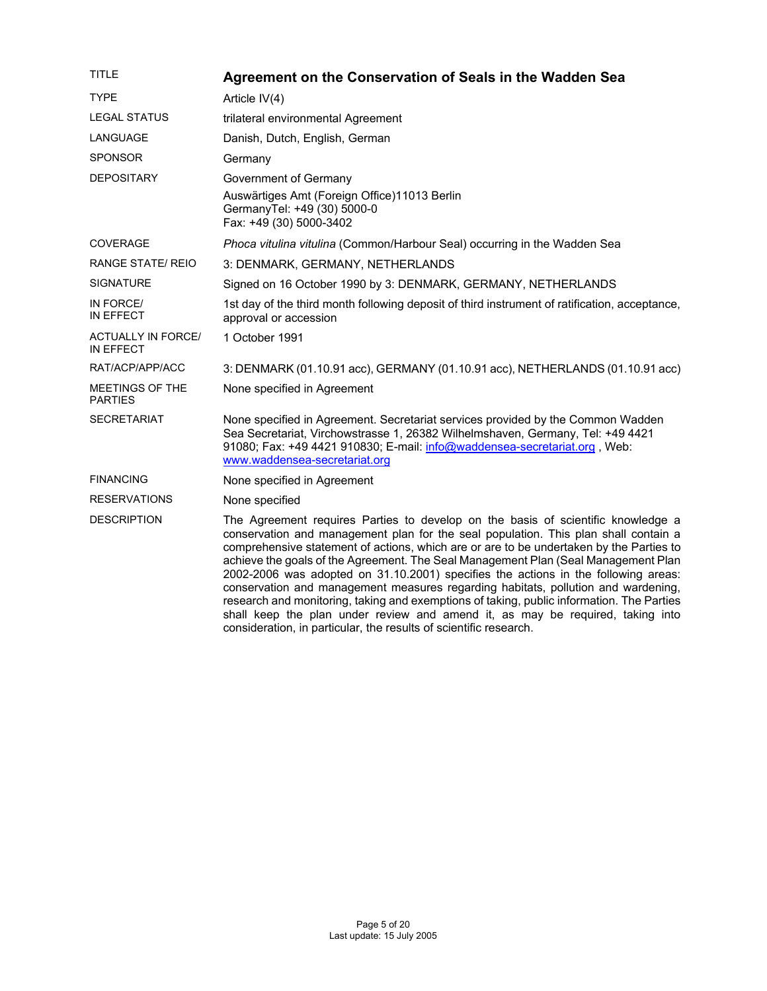| TITLE                                  | Agreement on the Conservation of Seals in the Wadden Sea                                                                                                                                                                                                                                                                                                                                                                                                                                                                                                                                                                                                                                                                                                                                |
|----------------------------------------|-----------------------------------------------------------------------------------------------------------------------------------------------------------------------------------------------------------------------------------------------------------------------------------------------------------------------------------------------------------------------------------------------------------------------------------------------------------------------------------------------------------------------------------------------------------------------------------------------------------------------------------------------------------------------------------------------------------------------------------------------------------------------------------------|
| <b>TYPE</b>                            | Article IV(4)                                                                                                                                                                                                                                                                                                                                                                                                                                                                                                                                                                                                                                                                                                                                                                           |
| <b>LEGAL STATUS</b>                    | trilateral environmental Agreement                                                                                                                                                                                                                                                                                                                                                                                                                                                                                                                                                                                                                                                                                                                                                      |
| LANGUAGE                               | Danish, Dutch, English, German                                                                                                                                                                                                                                                                                                                                                                                                                                                                                                                                                                                                                                                                                                                                                          |
| <b>SPONSOR</b>                         | Germany                                                                                                                                                                                                                                                                                                                                                                                                                                                                                                                                                                                                                                                                                                                                                                                 |
| <b>DEPOSITARY</b>                      | Government of Germany                                                                                                                                                                                                                                                                                                                                                                                                                                                                                                                                                                                                                                                                                                                                                                   |
|                                        | Auswärtiges Amt (Foreign Office)11013 Berlin<br>GermanyTel: +49 (30) 5000-0<br>Fax: +49 (30) 5000-3402                                                                                                                                                                                                                                                                                                                                                                                                                                                                                                                                                                                                                                                                                  |
| <b>COVERAGE</b>                        | Phoca vitulina vitulina (Common/Harbour Seal) occurring in the Wadden Sea                                                                                                                                                                                                                                                                                                                                                                                                                                                                                                                                                                                                                                                                                                               |
| RANGE STATE/ REIO                      | 3: DENMARK, GERMANY, NETHERLANDS                                                                                                                                                                                                                                                                                                                                                                                                                                                                                                                                                                                                                                                                                                                                                        |
| SIGNATURE                              | Signed on 16 October 1990 by 3: DENMARK, GERMANY, NETHERLANDS                                                                                                                                                                                                                                                                                                                                                                                                                                                                                                                                                                                                                                                                                                                           |
| IN FORCE/<br>IN EFFECT                 | 1st day of the third month following deposit of third instrument of ratification, acceptance,<br>approval or accession                                                                                                                                                                                                                                                                                                                                                                                                                                                                                                                                                                                                                                                                  |
| <b>ACTUALLY IN FORCE/</b><br>IN EFFECT | 1 October 1991                                                                                                                                                                                                                                                                                                                                                                                                                                                                                                                                                                                                                                                                                                                                                                          |
| RAT/ACP/APP/ACC                        | 3: DENMARK (01.10.91 acc), GERMANY (01.10.91 acc), NETHERLANDS (01.10.91 acc)                                                                                                                                                                                                                                                                                                                                                                                                                                                                                                                                                                                                                                                                                                           |
| MEETINGS OF THE<br><b>PARTIES</b>      | None specified in Agreement                                                                                                                                                                                                                                                                                                                                                                                                                                                                                                                                                                                                                                                                                                                                                             |
| SECRETARIAT                            | None specified in Agreement. Secretariat services provided by the Common Wadden<br>Sea Secretariat, Virchowstrasse 1, 26382 Wilhelmshaven, Germany, Tel: +49 4421<br>91080; Fax: +49 4421 910830; E-mail: info@waddensea-secretariat.org, Web:<br>www.waddensea-secretariat.org                                                                                                                                                                                                                                                                                                                                                                                                                                                                                                         |
| <b>FINANCING</b>                       | None specified in Agreement                                                                                                                                                                                                                                                                                                                                                                                                                                                                                                                                                                                                                                                                                                                                                             |
| <b>RESERVATIONS</b>                    | None specified                                                                                                                                                                                                                                                                                                                                                                                                                                                                                                                                                                                                                                                                                                                                                                          |
| <b>DESCRIPTION</b>                     | The Agreement requires Parties to develop on the basis of scientific knowledge a<br>conservation and management plan for the seal population. This plan shall contain a<br>comprehensive statement of actions, which are or are to be undertaken by the Parties to<br>achieve the goals of the Agreement. The Seal Management Plan (Seal Management Plan<br>2002-2006 was adopted on 31.10.2001) specifies the actions in the following areas:<br>conservation and management measures regarding habitats, pollution and wardening,<br>research and monitoring, taking and exemptions of taking, public information. The Parties<br>shall keep the plan under review and amend it, as may be required, taking into<br>consideration, in particular, the results of scientific research. |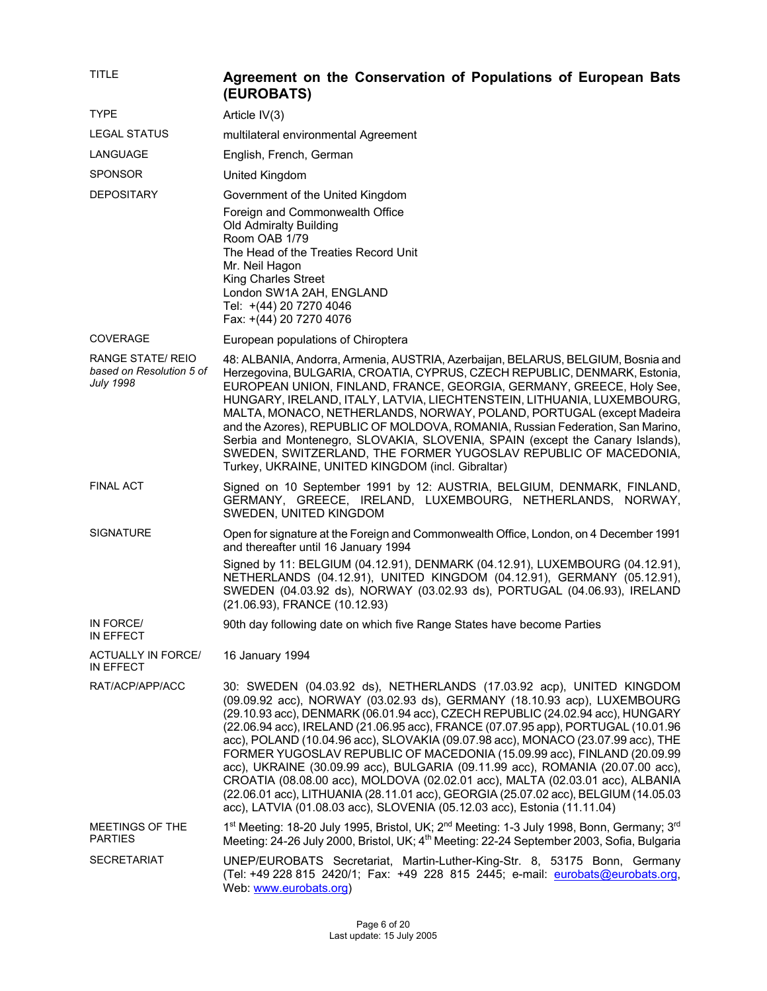| <b>TITLE</b>                                                             | Agreement on the Conservation of Populations of European Bats<br>(EUROBATS)                                                                                                                                                                                                                                                                                                                                                                                                                                                                                                                                                                                                                                                                                                                                                  |
|--------------------------------------------------------------------------|------------------------------------------------------------------------------------------------------------------------------------------------------------------------------------------------------------------------------------------------------------------------------------------------------------------------------------------------------------------------------------------------------------------------------------------------------------------------------------------------------------------------------------------------------------------------------------------------------------------------------------------------------------------------------------------------------------------------------------------------------------------------------------------------------------------------------|
| <b>TYPE</b>                                                              | Article IV(3)                                                                                                                                                                                                                                                                                                                                                                                                                                                                                                                                                                                                                                                                                                                                                                                                                |
| <b>LEGAL STATUS</b>                                                      | multilateral environmental Agreement                                                                                                                                                                                                                                                                                                                                                                                                                                                                                                                                                                                                                                                                                                                                                                                         |
| LANGUAGE                                                                 | English, French, German                                                                                                                                                                                                                                                                                                                                                                                                                                                                                                                                                                                                                                                                                                                                                                                                      |
| <b>SPONSOR</b>                                                           | United Kingdom                                                                                                                                                                                                                                                                                                                                                                                                                                                                                                                                                                                                                                                                                                                                                                                                               |
| <b>DEPOSITARY</b>                                                        | Government of the United Kingdom                                                                                                                                                                                                                                                                                                                                                                                                                                                                                                                                                                                                                                                                                                                                                                                             |
|                                                                          | Foreign and Commonwealth Office<br>Old Admiralty Building<br>Room OAB 1/79<br>The Head of the Treaties Record Unit<br>Mr. Neil Hagon<br><b>King Charles Street</b><br>London SW1A 2AH, ENGLAND<br>Tel: +(44) 20 7270 4046<br>Fax: +(44) 20 7270 4076                                                                                                                                                                                                                                                                                                                                                                                                                                                                                                                                                                         |
| <b>COVERAGE</b>                                                          | European populations of Chiroptera                                                                                                                                                                                                                                                                                                                                                                                                                                                                                                                                                                                                                                                                                                                                                                                           |
| <b>RANGE STATE/ REIO</b><br>based on Resolution 5 of<br><b>July 1998</b> | 48: ALBANIA, Andorra, Armenia, AUSTRIA, Azerbaijan, BELARUS, BELGIUM, Bosnia and<br>Herzegovina, BULGARIA, CROATIA, CYPRUS, CZECH REPUBLIC, DENMARK, Estonia,<br>EUROPEAN UNION, FINLAND, FRANCE, GEORGIA, GERMANY, GREECE, Holy See,<br>HUNGARY, IRELAND, ITALY, LATVIA, LIECHTENSTEIN, LITHUANIA, LUXEMBOURG,<br>MALTA, MONACO, NETHERLANDS, NORWAY, POLAND, PORTUGAL (except Madeira<br>and the Azores), REPUBLIC OF MOLDOVA, ROMANIA, Russian Federation, San Marino,<br>Serbia and Montenegro, SLOVAKIA, SLOVENIA, SPAIN (except the Canary Islands),<br>SWEDEN, SWITZERLAND, THE FORMER YUGOSLAV REPUBLIC OF MACEDONIA,<br>Turkey, UKRAINE, UNITED KINGDOM (incl. Gibraltar)                                                                                                                                           |
| <b>FINAL ACT</b>                                                         | Signed on 10 September 1991 by 12: AUSTRIA, BELGIUM, DENMARK, FINLAND,<br>GERMANY, GREECE, IRELAND, LUXEMBOURG, NETHERLANDS, NORWAY,<br>SWEDEN, UNITED KINGDOM                                                                                                                                                                                                                                                                                                                                                                                                                                                                                                                                                                                                                                                               |
| <b>SIGNATURE</b>                                                         | Open for signature at the Foreign and Commonwealth Office, London, on 4 December 1991<br>and thereafter until 16 January 1994                                                                                                                                                                                                                                                                                                                                                                                                                                                                                                                                                                                                                                                                                                |
|                                                                          | Signed by 11: BELGIUM (04.12.91), DENMARK (04.12.91), LUXEMBOURG (04.12.91),<br>NETHERLANDS (04.12.91), UNITED KINGDOM (04.12.91), GERMANY (05.12.91),<br>SWEDEN (04.03.92 ds), NORWAY (03.02.93 ds), PORTUGAL (04.06.93), IRELAND<br>(21.06.93), FRANCE (10.12.93)                                                                                                                                                                                                                                                                                                                                                                                                                                                                                                                                                          |
| IN FORCE/<br>IN EFFECT                                                   | 90th day following date on which five Range States have become Parties                                                                                                                                                                                                                                                                                                                                                                                                                                                                                                                                                                                                                                                                                                                                                       |
| <b>ACTUALLY IN FORCE/</b><br>IN EFFECT                                   | 16 January 1994                                                                                                                                                                                                                                                                                                                                                                                                                                                                                                                                                                                                                                                                                                                                                                                                              |
| RAT/ACP/APP/ACC                                                          | 30: SWEDEN (04.03.92 ds), NETHERLANDS (17.03.92 acp), UNITED KINGDOM<br>(09.09.92 acc), NORWAY (03.02.93 ds), GERMANY (18.10.93 acp), LUXEMBOURG<br>(29.10.93 acc), DENMARK (06.01.94 acc), CZECH REPUBLIC (24.02.94 acc), HUNGARY<br>(22.06.94 acc), IRELAND (21.06.95 acc), FRANCE (07.07.95 app), PORTUGAL (10.01.96<br>acc), POLAND (10.04.96 acc), SLOVAKIA (09.07.98 acc), MONACO (23.07.99 acc), THE<br>FORMER YUGOSLAV REPUBLIC OF MACEDONIA (15.09.99 acc), FINLAND (20.09.99<br>acc), UKRAINE (30.09.99 acc), BULGARIA (09.11.99 acc), ROMANIA (20.07.00 acc),<br>CROATIA (08.08.00 acc), MOLDOVA (02.02.01 acc), MALTA (02.03.01 acc), ALBANIA<br>(22.06.01 acc), LITHUANIA (28.11.01 acc), GEORGIA (25.07.02 acc), BELGIUM (14.05.03<br>acc), LATVIA (01.08.03 acc), SLOVENIA (05.12.03 acc), Estonia (11.11.04) |
| MEETINGS OF THE<br><b>PARTIES</b>                                        | 1st Meeting: 18-20 July 1995, Bristol, UK; 2 <sup>nd</sup> Meeting: 1-3 July 1998, Bonn, Germany; 3 <sup>rd</sup><br>Meeting: 24-26 July 2000, Bristol, UK; 4 <sup>th</sup> Meeting: 22-24 September 2003, Sofia, Bulgaria                                                                                                                                                                                                                                                                                                                                                                                                                                                                                                                                                                                                   |
| <b>SECRETARIAT</b>                                                       | UNEP/EUROBATS Secretariat, Martin-Luther-King-Str. 8, 53175 Bonn, Germany<br>(Tel: +49 228 815 2420/1; Fax: +49 228 815 2445; e-mail: eurobats@eurobats.org,<br>Web: www.eurobats.org)                                                                                                                                                                                                                                                                                                                                                                                                                                                                                                                                                                                                                                       |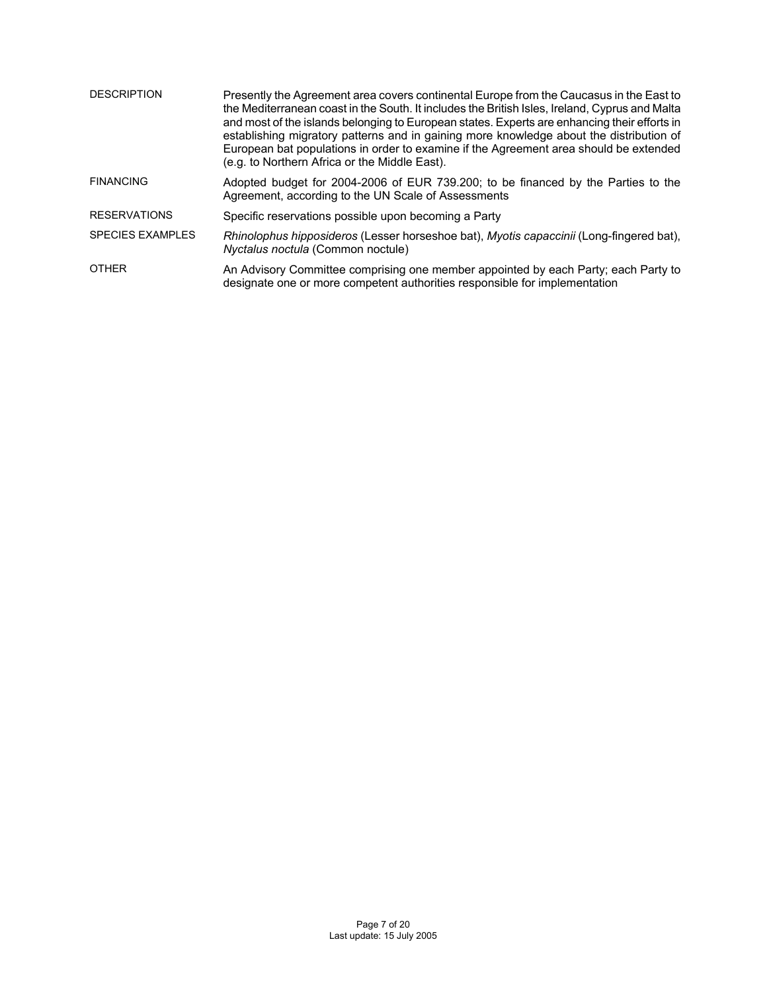| <b>DESCRIPTION</b>      | Presently the Agreement area covers continental Europe from the Caucasus in the East to<br>the Mediterranean coast in the South. It includes the British Isles, Ireland, Cyprus and Malta<br>and most of the islands belonging to European states. Experts are enhancing their efforts in<br>establishing migratory patterns and in gaining more knowledge about the distribution of<br>European bat populations in order to examine if the Agreement area should be extended<br>(e.g. to Northern Africa or the Middle East). |
|-------------------------|--------------------------------------------------------------------------------------------------------------------------------------------------------------------------------------------------------------------------------------------------------------------------------------------------------------------------------------------------------------------------------------------------------------------------------------------------------------------------------------------------------------------------------|
| <b>FINANCING</b>        | Adopted budget for 2004-2006 of EUR 739.200; to be financed by the Parties to the<br>Agreement, according to the UN Scale of Assessments                                                                                                                                                                                                                                                                                                                                                                                       |
| <b>RESERVATIONS</b>     | Specific reservations possible upon becoming a Party                                                                                                                                                                                                                                                                                                                                                                                                                                                                           |
| <b>SPECIES EXAMPLES</b> | Rhinolophus hipposideros (Lesser horseshoe bat), Myotis capaccinii (Long-fingered bat),<br>Nyctalus noctula (Common noctule)                                                                                                                                                                                                                                                                                                                                                                                                   |
| <b>OTHER</b>            | An Advisory Committee comprising one member appointed by each Party; each Party to<br>designate one or more competent authorities responsible for implementation                                                                                                                                                                                                                                                                                                                                                               |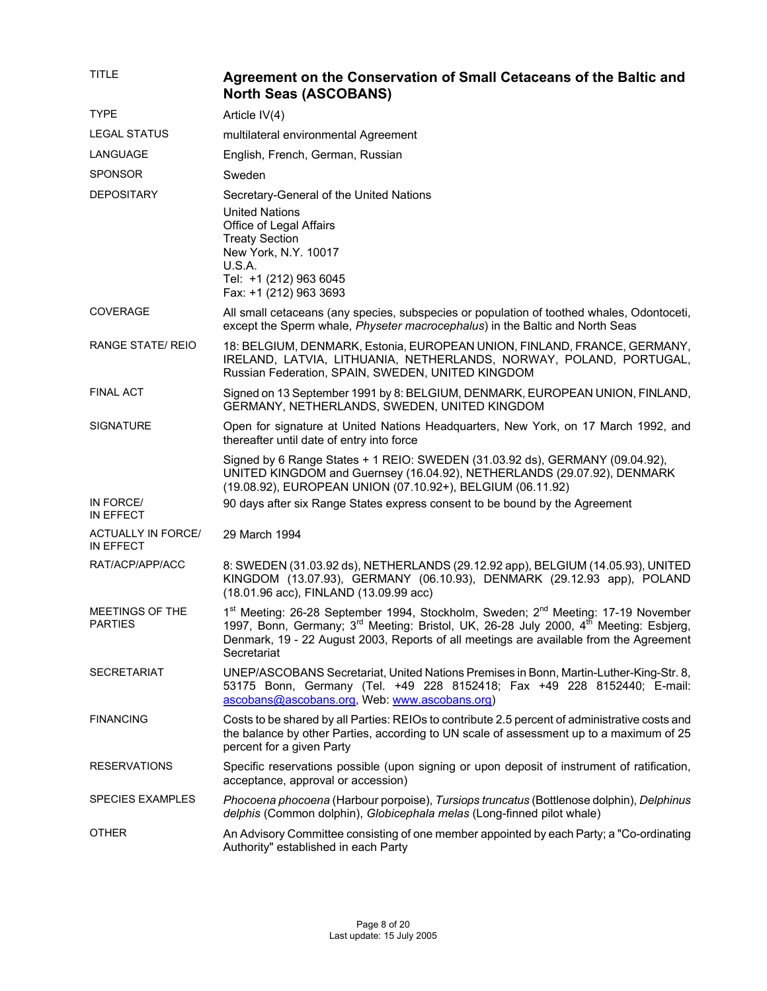| <b>TITLE</b>                           | Agreement on the Conservation of Small Cetaceans of the Baltic and<br><b>North Seas (ASCOBANS)</b>                                                                                                                                                                                                                      |
|----------------------------------------|-------------------------------------------------------------------------------------------------------------------------------------------------------------------------------------------------------------------------------------------------------------------------------------------------------------------------|
| <b>TYPE</b>                            | Article IV(4)                                                                                                                                                                                                                                                                                                           |
| LEGAL STATUS                           | multilateral environmental Agreement                                                                                                                                                                                                                                                                                    |
| LANGUAGE                               | English, French, German, Russian                                                                                                                                                                                                                                                                                        |
| <b>SPONSOR</b>                         | Sweden                                                                                                                                                                                                                                                                                                                  |
| <b>DEPOSITARY</b>                      | Secretary-General of the United Nations<br><b>United Nations</b><br>Office of Legal Affairs<br><b>Treaty Section</b><br>New York, N.Y. 10017<br>U.S.A.<br>Tel: +1 (212) 963 6045<br>Fax: +1 (212) 963 3693                                                                                                              |
| <b>COVERAGE</b>                        | All small cetaceans (any species, subspecies or population of toothed whales, Odontoceti,<br>except the Sperm whale, Physeter macrocephalus) in the Baltic and North Seas                                                                                                                                               |
| <b>RANGE STATE/ REIO</b>               | 18: BELGIUM, DENMARK, Estonia, EUROPEAN UNION, FINLAND, FRANCE, GERMANY,<br>IRELAND, LATVIA, LITHUANIA, NETHERLANDS, NORWAY, POLAND, PORTUGAL,<br>Russian Federation, SPAIN, SWEDEN, UNITED KINGDOM                                                                                                                     |
| <b>FINAL ACT</b>                       | Signed on 13 September 1991 by 8: BELGIUM, DENMARK, EUROPEAN UNION, FINLAND,<br>GERMANY, NETHERLANDS, SWEDEN, UNITED KINGDOM                                                                                                                                                                                            |
| <b>SIGNATURE</b>                       | Open for signature at United Nations Headquarters, New York, on 17 March 1992, and<br>thereafter until date of entry into force                                                                                                                                                                                         |
|                                        | Signed by 6 Range States + 1 REIO: SWEDEN (31.03.92 ds), GERMANY (09.04.92),<br>UNITED KINGDOM and Guernsey (16.04.92), NETHERLANDS (29.07.92), DENMARK<br>(19.08.92), EUROPEAN UNION (07.10.92+), BELGIUM (06.11.92)                                                                                                   |
| IN FORCE/<br>IN EFFECT                 | 90 days after six Range States express consent to be bound by the Agreement                                                                                                                                                                                                                                             |
| <b>ACTUALLY IN FORCE/</b><br>IN EFFECT | 29 March 1994                                                                                                                                                                                                                                                                                                           |
| RAT/ACP/APP/ACC                        | 8: SWEDEN (31.03.92 ds), NETHERLANDS (29.12.92 app), BELGIUM (14.05.93), UNITED<br>KINGDOM (13.07.93), GERMANY (06.10.93), DENMARK (29.12.93 app), POLAND<br>(18.01.96 acc), FINLAND (13.09.99 acc)                                                                                                                     |
| MEETINGS OF THE<br><b>PARTIES</b>      | 1st Meeting: 26-28 September 1994, Stockholm, Sweden; 2 <sup>nd</sup> Meeting: 17-19 November<br>1997, Bonn, Germany; 3 <sup>rd</sup> Meeting: Bristol, UK, 26-28 July 2000, 4 <sup>th</sup> Meeting: Esbjerg,<br>Denmark, 19 - 22 August 2003, Reports of all meetings are available from the Agreement<br>Secretariat |
| <b>SECRETARIAT</b>                     | UNEP/ASCOBANS Secretariat, United Nations Premises in Bonn, Martin-Luther-King-Str. 8,<br>53175 Bonn, Germany (Tel. +49 228 8152418; Fax +49 228 8152440; E-mail:<br>ascobans@ascobans.org, Web: www.ascobans.org)                                                                                                      |
| <b>FINANCING</b>                       | Costs to be shared by all Parties: REIOs to contribute 2.5 percent of administrative costs and<br>the balance by other Parties, according to UN scale of assessment up to a maximum of 25<br>percent for a given Party                                                                                                  |
| <b>RESERVATIONS</b>                    | Specific reservations possible (upon signing or upon deposit of instrument of ratification,<br>acceptance, approval or accession)                                                                                                                                                                                       |
| <b>SPECIES EXAMPLES</b>                | Phocoena phocoena (Harbour porpoise), Tursiops truncatus (Bottlenose dolphin), Delphinus<br>delphis (Common dolphin), Globicephala melas (Long-finned pilot whale)                                                                                                                                                      |
| <b>OTHER</b>                           | An Advisory Committee consisting of one member appointed by each Party; a "Co-ordinating<br>Authority" established in each Party                                                                                                                                                                                        |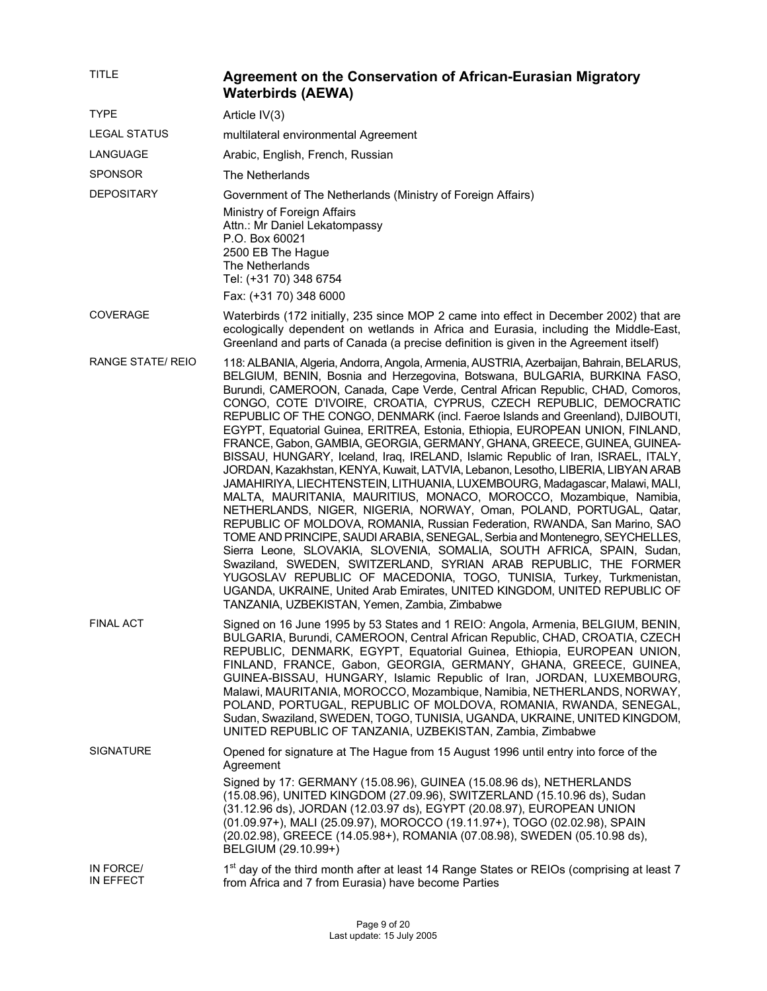| TITLE                  | Agreement on the Conservation of African-Eurasian Migratory<br><b>Waterbirds (AEWA)</b>                                                                                                                                                                                                                                                                                                                                                                                                                                                                                                                                                                                                                                                                                                                                                                                                                                                                                                                                                                                                                                                                                                                                                                                                                                                                                                                                                                                                             |
|------------------------|-----------------------------------------------------------------------------------------------------------------------------------------------------------------------------------------------------------------------------------------------------------------------------------------------------------------------------------------------------------------------------------------------------------------------------------------------------------------------------------------------------------------------------------------------------------------------------------------------------------------------------------------------------------------------------------------------------------------------------------------------------------------------------------------------------------------------------------------------------------------------------------------------------------------------------------------------------------------------------------------------------------------------------------------------------------------------------------------------------------------------------------------------------------------------------------------------------------------------------------------------------------------------------------------------------------------------------------------------------------------------------------------------------------------------------------------------------------------------------------------------------|
| <b>TYPE</b>            | Article IV(3)                                                                                                                                                                                                                                                                                                                                                                                                                                                                                                                                                                                                                                                                                                                                                                                                                                                                                                                                                                                                                                                                                                                                                                                                                                                                                                                                                                                                                                                                                       |
| <b>LEGAL STATUS</b>    | multilateral environmental Agreement                                                                                                                                                                                                                                                                                                                                                                                                                                                                                                                                                                                                                                                                                                                                                                                                                                                                                                                                                                                                                                                                                                                                                                                                                                                                                                                                                                                                                                                                |
| LANGUAGE               | Arabic, English, French, Russian                                                                                                                                                                                                                                                                                                                                                                                                                                                                                                                                                                                                                                                                                                                                                                                                                                                                                                                                                                                                                                                                                                                                                                                                                                                                                                                                                                                                                                                                    |
| <b>SPONSOR</b>         | The Netherlands                                                                                                                                                                                                                                                                                                                                                                                                                                                                                                                                                                                                                                                                                                                                                                                                                                                                                                                                                                                                                                                                                                                                                                                                                                                                                                                                                                                                                                                                                     |
| <b>DEPOSITARY</b>      | Government of The Netherlands (Ministry of Foreign Affairs)                                                                                                                                                                                                                                                                                                                                                                                                                                                                                                                                                                                                                                                                                                                                                                                                                                                                                                                                                                                                                                                                                                                                                                                                                                                                                                                                                                                                                                         |
|                        | Ministry of Foreign Affairs<br>Attn.: Mr Daniel Lekatompassy<br>P.O. Box 60021<br>2500 EB The Hague<br>The Netherlands<br>Tel: (+31 70) 348 6754<br>Fax: (+31 70) 348 6000                                                                                                                                                                                                                                                                                                                                                                                                                                                                                                                                                                                                                                                                                                                                                                                                                                                                                                                                                                                                                                                                                                                                                                                                                                                                                                                          |
| <b>COVERAGE</b>        | Waterbirds (172 initially, 235 since MOP 2 came into effect in December 2002) that are<br>ecologically dependent on wetlands in Africa and Eurasia, including the Middle-East,<br>Greenland and parts of Canada (a precise definition is given in the Agreement itself)                                                                                                                                                                                                                                                                                                                                                                                                                                                                                                                                                                                                                                                                                                                                                                                                                                                                                                                                                                                                                                                                                                                                                                                                                             |
| RANGE STATE/ REIO      | 118: ALBANIA, Algeria, Andorra, Angola, Armenia, AUSTRIA, Azerbaijan, Bahrain, BELARUS,<br>BELGIUM, BENIN, Bosnia and Herzegovina, Botswana, BULGARIA, BURKINA FASO,<br>Burundi, CAMEROON, Canada, Cape Verde, Central African Republic, CHAD, Comoros,<br>CONGO, COTE D'IVOIRE, CROATIA, CYPRUS, CZECH REPUBLIC, DEMOCRATIC<br>REPUBLIC OF THE CONGO, DENMARK (incl. Faeroe Islands and Greenland), DJIBOUTI,<br>EGYPT, Equatorial Guinea, ERITREA, Estonia, Ethiopia, EUROPEAN UNION, FINLAND,<br>FRANCE, Gabon, GAMBIA, GEORGIA, GERMANY, GHANA, GREECE, GUINEA, GUINEA-<br>BISSAU, HUNGARY, Iceland, Iraq, IRELAND, Islamic Republic of Iran, ISRAEL, ITALY,<br>JORDAN, Kazakhstan, KENYA, Kuwait, LATVIA, Lebanon, Lesotho, LIBERIA, LIBYAN ARAB<br>JAMAHIRIYA, LIECHTENSTEIN, LITHUANIA, LUXEMBOURG, Madagascar, Malawi, MALI,<br>MALTA, MAURITANIA, MAURITIUS, MONACO, MOROCCO, Mozambique, Namibia,<br>NETHERLANDS, NIGER, NIGERIA, NORWAY, Oman, POLAND, PORTUGAL, Qatar,<br>REPUBLIC OF MOLDOVA, ROMANIA, Russian Federation, RWANDA, San Marino, SAO<br>TOME AND PRINCIPE, SAUDI ARABIA, SENEGAL, Serbia and Montenegro, SEYCHELLES,<br>Sierra Leone, SLOVAKIA, SLOVENIA, SOMALIA, SOUTH AFRICA, SPAIN, Sudan,<br>Swaziland, SWEDEN, SWITZERLAND, SYRIAN ARAB REPUBLIC, THE FORMER<br>YUGOSLAV REPUBLIC OF MACEDONIA, TOGO, TUNISIA, Turkey, Turkmenistan,<br>UGANDA, UKRAINE, United Arab Emirates, UNITED KINGDOM, UNITED REPUBLIC OF<br>TANZANIA, UZBEKISTAN, Yemen, Zambia, Zimbabwe |
| <b>FINAL ACT</b>       | Signed on 16 June 1995 by 53 States and 1 REIO: Angola, Armenia, BELGIUM, BENIN,<br>BULGARIA, Burundi, CAMEROON, Central African Republic, CHAD, CROATIA, CZECH<br>REPUBLIC, DENMARK, EGYPT, Equatorial Guinea, Ethiopia, EUROPEAN UNION,<br>FINLAND, FRANCE, Gabon, GEORGIA, GERMANY, GHANA, GREECE, GUINEA,<br>GUINEA-BISSAU, HUNGARY, Islamic Republic of Iran, JORDAN, LUXEMBOURG,<br>Malawi, MAURITANIA, MOROCCO, Mozambique, Namibia, NETHERLANDS, NORWAY,<br>POLAND, PORTUGAL, REPUBLIC OF MOLDOVA, ROMANIA, RWANDA, SENEGAL,<br>Sudan, Swaziland, SWEDEN, TOGO, TUNISIA, UGANDA, UKRAINE, UNITED KINGDOM,<br>UNITED REPUBLIC OF TANZANIA, UZBEKISTAN, Zambia, Zimbabwe                                                                                                                                                                                                                                                                                                                                                                                                                                                                                                                                                                                                                                                                                                                                                                                                                      |
| <b>SIGNATURE</b>       | Opened for signature at The Hague from 15 August 1996 until entry into force of the<br>Agreement<br>Signed by 17: GERMANY (15.08.96), GUINEA (15.08.96 ds), NETHERLANDS<br>(15.08.96), UNITED KINGDOM (27.09.96), SWITZERLAND (15.10.96 ds), Sudan<br>(31.12.96 ds), JORDAN (12.03.97 ds), EGYPT (20.08.97), EUROPEAN UNION<br>(01.09.97+), MALI (25.09.97), MOROCCO (19.11.97+), TOGO (02.02.98), SPAIN<br>(20.02.98), GREECE (14.05.98+), ROMANIA (07.08.98), SWEDEN (05.10.98 ds),<br>BELGIUM (29.10.99+)                                                                                                                                                                                                                                                                                                                                                                                                                                                                                                                                                                                                                                                                                                                                                                                                                                                                                                                                                                                        |
| IN FORCE/<br>IN EFFECT | 1 <sup>st</sup> day of the third month after at least 14 Range States or REIOs (comprising at least 7<br>from Africa and 7 from Eurasia) have become Parties                                                                                                                                                                                                                                                                                                                                                                                                                                                                                                                                                                                                                                                                                                                                                                                                                                                                                                                                                                                                                                                                                                                                                                                                                                                                                                                                        |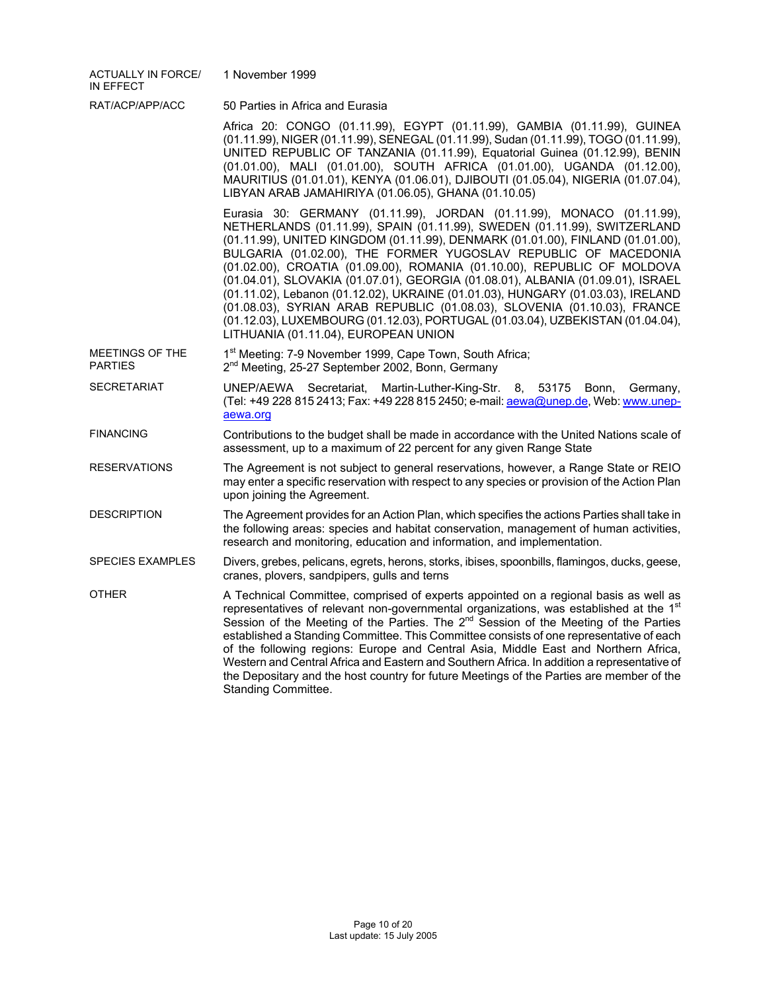| <b>ACTUALLY IN FORCE/</b><br>IN EFFECT | 1 November 1999                                                                                                                                                                                                                                                                                                                                                                                                                                                                                                                                                                                                                                                                                                                                              |
|----------------------------------------|--------------------------------------------------------------------------------------------------------------------------------------------------------------------------------------------------------------------------------------------------------------------------------------------------------------------------------------------------------------------------------------------------------------------------------------------------------------------------------------------------------------------------------------------------------------------------------------------------------------------------------------------------------------------------------------------------------------------------------------------------------------|
| RAT/ACP/APP/ACC                        | 50 Parties in Africa and Eurasia                                                                                                                                                                                                                                                                                                                                                                                                                                                                                                                                                                                                                                                                                                                             |
|                                        | Africa 20: CONGO (01.11.99), EGYPT (01.11.99), GAMBIA (01.11.99), GUINEA<br>(01.11.99), NIGER (01.11.99), SENEGAL (01.11.99), Sudan (01.11.99), TOGO (01.11.99),<br>UNITED REPUBLIC OF TANZANIA (01.11.99), Equatorial Guinea (01.12.99), BENIN<br>(01.01.00), MALI (01.01.00), SOUTH AFRICA (01.01.00), UGANDA (01.12.00),<br>MAURITIUS (01.01.01), KENYA (01.06.01), DJIBOUTI (01.05.04), NIGERIA (01.07.04),<br>LIBYAN ARAB JAMAHIRIYA (01.06.05), GHANA (01.10.05)                                                                                                                                                                                                                                                                                       |
|                                        | Eurasia 30: GERMANY (01.11.99), JORDAN (01.11.99), MONACO (01.11.99),<br>NETHERLANDS (01.11.99), SPAIN (01.11.99), SWEDEN (01.11.99), SWITZERLAND<br>(01.11.99), UNITED KINGDOM (01.11.99), DENMARK (01.01.00), FINLAND (01.01.00),<br>BULGARIA (01.02.00), THE FORMER YUGOSLAV REPUBLIC OF MACEDONIA<br>(01.02.00), CROATIA (01.09.00), ROMANIA (01.10.00), REPUBLIC OF MOLDOVA<br>(01.04.01), SLOVAKIA (01.07.01), GEORGIA (01.08.01), ALBANIA (01.09.01), ISRAEL<br>(01.11.02), Lebanon (01.12.02), UKRAINE (01.01.03), HUNGARY (01.03.03), IRELAND<br>(01.08.03), SYRIAN ARAB REPUBLIC (01.08.03), SLOVENIA (01.10.03), FRANCE<br>(01.12.03), LUXEMBOURG (01.12.03), PORTUGAL (01.03.04), UZBEKISTAN (01.04.04),<br>LITHUANIA (01.11.04), EUROPEAN UNION |
| MEETINGS OF THE<br><b>PARTIES</b>      | 1 <sup>st</sup> Meeting: 7-9 November 1999, Cape Town, South Africa;<br>2 <sup>nd</sup> Meeting, 25-27 September 2002, Bonn, Germany                                                                                                                                                                                                                                                                                                                                                                                                                                                                                                                                                                                                                         |
| <b>SECRETARIAT</b>                     | UNEP/AEWA Secretariat,<br>Martin-Luther-King-Str.<br>8, 53175 Bonn,<br>Germany,<br>(Tel: +49 228 815 2413; Fax: +49 228 815 2450; e-mail: aewa@unep.de, Web: www.unep-<br>aewa.org                                                                                                                                                                                                                                                                                                                                                                                                                                                                                                                                                                           |
| <b>FINANCING</b>                       | Contributions to the budget shall be made in accordance with the United Nations scale of<br>assessment, up to a maximum of 22 percent for any given Range State                                                                                                                                                                                                                                                                                                                                                                                                                                                                                                                                                                                              |
| <b>RESERVATIONS</b>                    | The Agreement is not subject to general reservations, however, a Range State or REIO<br>may enter a specific reservation with respect to any species or provision of the Action Plan<br>upon joining the Agreement.                                                                                                                                                                                                                                                                                                                                                                                                                                                                                                                                          |
| <b>DESCRIPTION</b>                     | The Agreement provides for an Action Plan, which specifies the actions Parties shall take in<br>the following areas: species and habitat conservation, management of human activities,<br>research and monitoring, education and information, and implementation.                                                                                                                                                                                                                                                                                                                                                                                                                                                                                            |
| <b>SPECIES EXAMPLES</b>                | Divers, grebes, pelicans, egrets, herons, storks, ibises, spoonbills, flamingos, ducks, geese,<br>cranes, plovers, sandpipers, gulls and terns                                                                                                                                                                                                                                                                                                                                                                                                                                                                                                                                                                                                               |
| <b>OTHER</b>                           | A Technical Committee, comprised of experts appointed on a regional basis as well as<br>representatives of relevant non-governmental organizations, was established at the 1st<br>Session of the Meeting of the Parties. The 2 <sup>nd</sup> Session of the Meeting of the Parties<br>established a Standing Committee. This Committee consists of one representative of each<br>of the following regions: Europe and Central Asia, Middle East and Northern Africa,<br>Western and Central Africa and Eastern and Southern Africa. In addition a representative of<br>the Depositary and the host country for future Meetings of the Parties are member of the<br>Standing Committee.                                                                       |
|                                        |                                                                                                                                                                                                                                                                                                                                                                                                                                                                                                                                                                                                                                                                                                                                                              |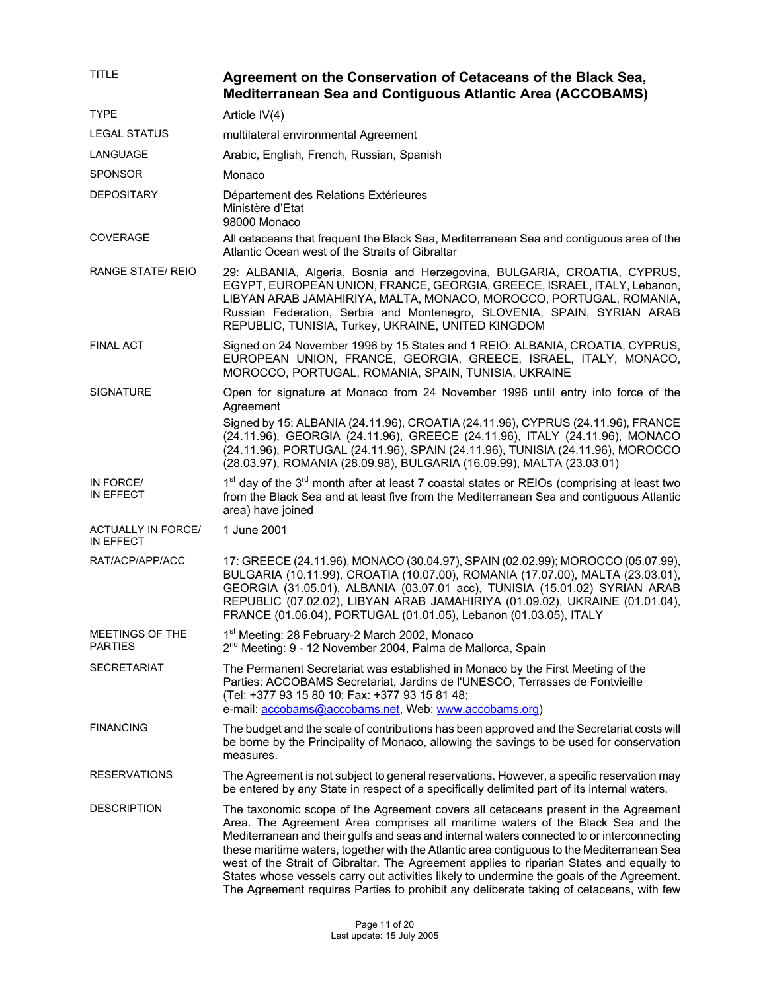| <b>TITLE</b>                           | Agreement on the Conservation of Cetaceans of the Black Sea,<br><b>Mediterranean Sea and Contiguous Atlantic Area (ACCOBAMS)</b>                                                                                                                                                                                                                                                                                                                                                                                                                                                                                                                      |
|----------------------------------------|-------------------------------------------------------------------------------------------------------------------------------------------------------------------------------------------------------------------------------------------------------------------------------------------------------------------------------------------------------------------------------------------------------------------------------------------------------------------------------------------------------------------------------------------------------------------------------------------------------------------------------------------------------|
| <b>TYPE</b>                            | Article IV(4)                                                                                                                                                                                                                                                                                                                                                                                                                                                                                                                                                                                                                                         |
| <b>LEGAL STATUS</b>                    | multilateral environmental Agreement                                                                                                                                                                                                                                                                                                                                                                                                                                                                                                                                                                                                                  |
| LANGUAGE                               | Arabic, English, French, Russian, Spanish                                                                                                                                                                                                                                                                                                                                                                                                                                                                                                                                                                                                             |
| <b>SPONSOR</b>                         | Monaco                                                                                                                                                                                                                                                                                                                                                                                                                                                                                                                                                                                                                                                |
| <b>DEPOSITARY</b>                      | Département des Relations Extérieures<br>Ministère d'Etat<br>98000 Monaco                                                                                                                                                                                                                                                                                                                                                                                                                                                                                                                                                                             |
| COVERAGE                               | All cetaceans that frequent the Black Sea, Mediterranean Sea and contiguous area of the<br>Atlantic Ocean west of the Straits of Gibraltar                                                                                                                                                                                                                                                                                                                                                                                                                                                                                                            |
| <b>RANGE STATE/ REIO</b>               | 29: ALBANIA, Algeria, Bosnia and Herzegovina, BULGARIA, CROATIA, CYPRUS,<br>EGYPT, EUROPEAN UNION, FRANCE, GEORGIA, GREECE, ISRAEL, ITALY, Lebanon,<br>LIBYAN ARAB JAMAHIRIYA, MALTA, MONACO, MOROCCO, PORTUGAL, ROMANIA,<br>Russian Federation, Serbia and Montenegro, SLOVENIA, SPAIN, SYRIAN ARAB<br>REPUBLIC, TUNISIA, Turkey, UKRAINE, UNITED KINGDOM                                                                                                                                                                                                                                                                                            |
| <b>FINAL ACT</b>                       | Signed on 24 November 1996 by 15 States and 1 REIO: ALBANIA, CROATIA, CYPRUS,<br>EUROPEAN UNION, FRANCE, GEORGIA, GREECE, ISRAEL, ITALY, MONACO,<br>MOROCCO, PORTUGAL, ROMANIA, SPAIN, TUNISIA, UKRAINE                                                                                                                                                                                                                                                                                                                                                                                                                                               |
| <b>SIGNATURE</b>                       | Open for signature at Monaco from 24 November 1996 until entry into force of the<br>Agreement                                                                                                                                                                                                                                                                                                                                                                                                                                                                                                                                                         |
|                                        | Signed by 15: ALBANIA (24.11.96), CROATIA (24.11.96), CYPRUS (24.11.96), FRANCE<br>(24.11.96), GEORGIA (24.11.96), GREECE (24.11.96), ITALY (24.11.96), MONACO<br>(24.11.96), PORTUGAL (24.11.96), SPAIN (24.11.96), TUNISIA (24.11.96), MOROCCO<br>(28.03.97), ROMANIA (28.09.98), BULGARIA (16.09.99), MALTA (23.03.01)                                                                                                                                                                                                                                                                                                                             |
| IN FORCE/<br>IN EFFECT                 | 1 <sup>st</sup> day of the 3 <sup>rd</sup> month after at least 7 coastal states or REIOs (comprising at least two<br>from the Black Sea and at least five from the Mediterranean Sea and contiguous Atlantic<br>area) have joined                                                                                                                                                                                                                                                                                                                                                                                                                    |
| <b>ACTUALLY IN FORCE/</b><br>IN EFFECT | 1 June 2001                                                                                                                                                                                                                                                                                                                                                                                                                                                                                                                                                                                                                                           |
| RAT/ACP/APP/ACC                        | 17: GREECE (24.11.96), MONACO (30.04.97), SPAIN (02.02.99); MOROCCO (05.07.99),<br>BULGARIA (10.11.99), CROATIA (10.07.00), ROMANIA (17.07.00), MALTA (23.03.01),<br>GEORGIA (31.05.01), ALBANIA (03.07.01 acc), TUNISIA (15.01.02) SYRIAN ARAB<br>REPUBLIC (07.02.02), LIBYAN ARAB JAMAHIRIYA (01.09.02), UKRAINE (01.01.04),<br>FRANCE (01.06.04), PORTUGAL (01.01.05), Lebanon (01.03.05), ITALY                                                                                                                                                                                                                                                   |
| MEETINGS OF THE<br><b>PARTIES</b>      | 1 <sup>st</sup> Meeting: 28 February-2 March 2002, Monaco<br>2 <sup>nd</sup> Meeting: 9 - 12 November 2004, Palma de Mallorca, Spain                                                                                                                                                                                                                                                                                                                                                                                                                                                                                                                  |
| <b>SECRETARIAT</b>                     | The Permanent Secretariat was established in Monaco by the First Meeting of the<br>Parties: ACCOBAMS Secretariat, Jardins de l'UNESCO, Terrasses de Fontvieille<br>(Tel: +377 93 15 80 10; Fax: +377 93 15 81 48;<br>e-mail: accobams@accobams.net, Web: www.accobams.org)                                                                                                                                                                                                                                                                                                                                                                            |
| <b>FINANCING</b>                       | The budget and the scale of contributions has been approved and the Secretariat costs will<br>be borne by the Principality of Monaco, allowing the savings to be used for conservation<br>measures.                                                                                                                                                                                                                                                                                                                                                                                                                                                   |
| <b>RESERVATIONS</b>                    | The Agreement is not subject to general reservations. However, a specific reservation may<br>be entered by any State in respect of a specifically delimited part of its internal waters.                                                                                                                                                                                                                                                                                                                                                                                                                                                              |
| <b>DESCRIPTION</b>                     | The taxonomic scope of the Agreement covers all cetaceans present in the Agreement<br>Area. The Agreement Area comprises all maritime waters of the Black Sea and the<br>Mediterranean and their gulfs and seas and internal waters connected to or interconnecting<br>these maritime waters, together with the Atlantic area contiguous to the Mediterranean Sea<br>west of the Strait of Gibraltar. The Agreement applies to riparian States and equally to<br>States whose vessels carry out activities likely to undermine the goals of the Agreement.<br>The Agreement requires Parties to prohibit any deliberate taking of cetaceans, with few |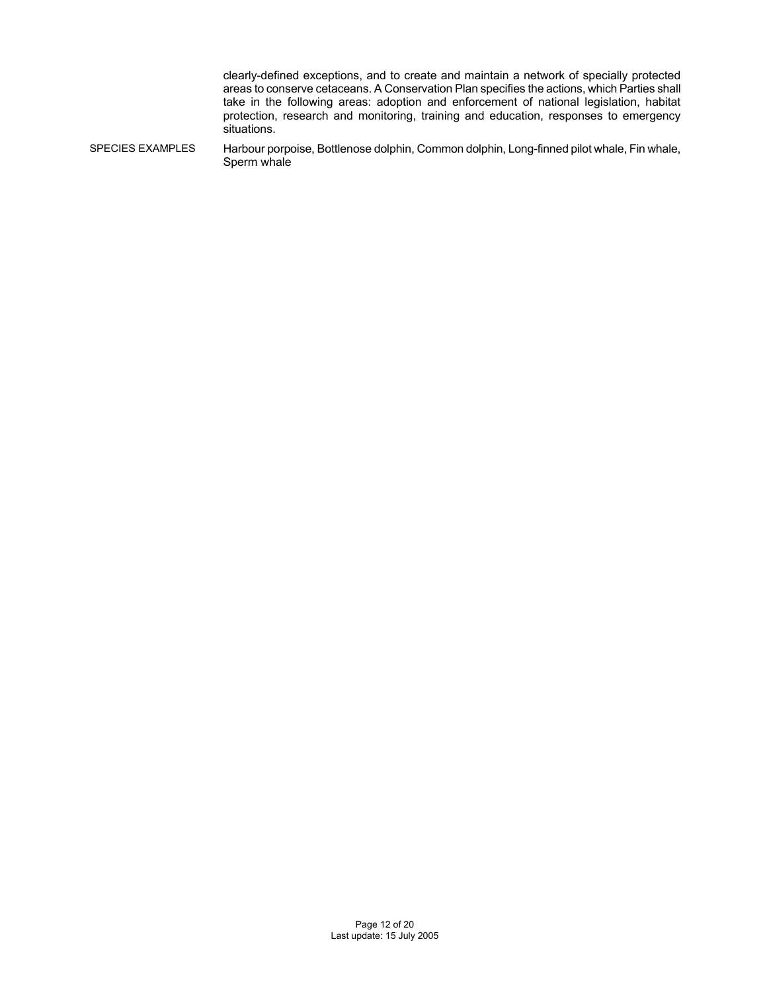clearly-defined exceptions, and to create and maintain a network of specially protected areas to conserve cetaceans. A Conservation Plan specifies the actions, which Parties shall take in the following areas: adoption and enforcement of national legislation, habitat protection, research and monitoring, training and education, responses to emergency situations.

SPECIES EXAMPLES Harbour porpoise, Bottlenose dolphin, Common dolphin, Long-finned pilot whale, Fin whale, Sperm whale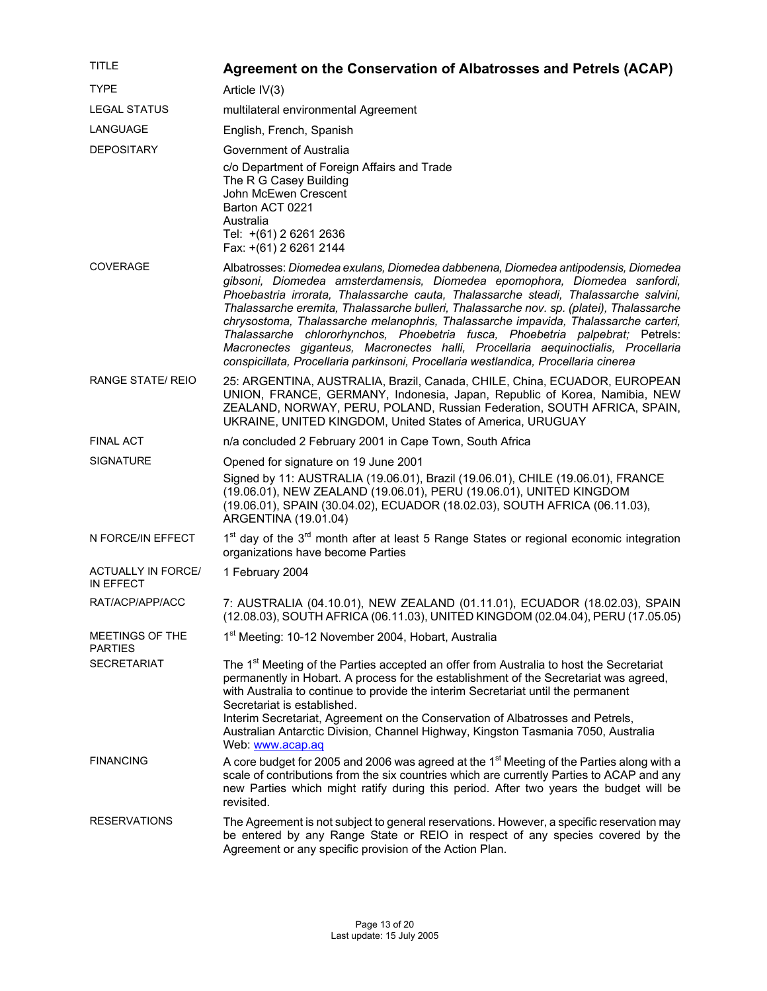| <b>TITLE</b>                           | Agreement on the Conservation of Albatrosses and Petrels (ACAP)                                                                                                                                                                                                                                                                                                                                                                                                                                                                                                                                                                                                                                         |
|----------------------------------------|---------------------------------------------------------------------------------------------------------------------------------------------------------------------------------------------------------------------------------------------------------------------------------------------------------------------------------------------------------------------------------------------------------------------------------------------------------------------------------------------------------------------------------------------------------------------------------------------------------------------------------------------------------------------------------------------------------|
| <b>TYPE</b>                            | Article IV(3)                                                                                                                                                                                                                                                                                                                                                                                                                                                                                                                                                                                                                                                                                           |
| <b>LEGAL STATUS</b>                    | multilateral environmental Agreement                                                                                                                                                                                                                                                                                                                                                                                                                                                                                                                                                                                                                                                                    |
| LANGUAGE                               | English, French, Spanish                                                                                                                                                                                                                                                                                                                                                                                                                                                                                                                                                                                                                                                                                |
| <b>DEPOSITARY</b>                      | Government of Australia                                                                                                                                                                                                                                                                                                                                                                                                                                                                                                                                                                                                                                                                                 |
|                                        | c/o Department of Foreign Affairs and Trade<br>The R G Casey Building<br>John McEwen Crescent<br>Barton ACT 0221<br>Australia<br>Tel: +(61) 2 6261 2636<br>Fax: +(61) 2 6261 2144                                                                                                                                                                                                                                                                                                                                                                                                                                                                                                                       |
| <b>COVERAGE</b>                        | Albatrosses: Diomedea exulans, Diomedea dabbenena, Diomedea antipodensis, Diomedea<br>gibsoni, Diomedea amsterdamensis, Diomedea epomophora, Diomedea sanfordi,<br>Phoebastria irrorata, Thalassarche cauta, Thalassarche steadi, Thalassarche salvini,<br>Thalassarche eremita, Thalassarche bulleri, Thalassarche nov. sp. (platei), Thalassarche<br>chrysostoma, Thalassarche melanophris, Thalassarche impavida, Thalassarche carteri,<br>Thalassarche chlororhynchos, Phoebetria fusca, Phoebetria palpebrat; Petrels:<br>Macronectes giganteus, Macronectes halli, Procellaria aequinoctialis, Procellaria<br>conspicillata, Procellaria parkinsoni, Procellaria westlandica, Procellaria cinerea |
| <b>RANGE STATE/ REIO</b>               | 25: ARGENTINA, AUSTRALIA, Brazil, Canada, CHILE, China, ECUADOR, EUROPEAN<br>UNION, FRANCE, GERMANY, Indonesia, Japan, Republic of Korea, Namibia, NEW<br>ZEALAND, NORWAY, PERU, POLAND, Russian Federation, SOUTH AFRICA, SPAIN,<br>UKRAINE, UNITED KINGDOM, United States of America, URUGUAY                                                                                                                                                                                                                                                                                                                                                                                                         |
| <b>FINAL ACT</b>                       | n/a concluded 2 February 2001 in Cape Town, South Africa                                                                                                                                                                                                                                                                                                                                                                                                                                                                                                                                                                                                                                                |
| <b>SIGNATURE</b>                       | Opened for signature on 19 June 2001                                                                                                                                                                                                                                                                                                                                                                                                                                                                                                                                                                                                                                                                    |
|                                        | Signed by 11: AUSTRALIA (19.06.01), Brazil (19.06.01), CHILE (19.06.01), FRANCE<br>(19.06.01), NEW ZEALAND (19.06.01), PERU (19.06.01), UNITED KINGDOM<br>(19.06.01), SPAIN (30.04.02), ECUADOR (18.02.03), SOUTH AFRICA (06.11.03),<br>ARGENTINA (19.01.04)                                                                                                                                                                                                                                                                                                                                                                                                                                            |
| N FORCE/IN EFFECT                      | 1 <sup>st</sup> day of the 3 <sup>rd</sup> month after at least 5 Range States or regional economic integration<br>organizations have become Parties                                                                                                                                                                                                                                                                                                                                                                                                                                                                                                                                                    |
| <b>ACTUALLY IN FORCE/</b><br>IN EFFECT | 1 February 2004                                                                                                                                                                                                                                                                                                                                                                                                                                                                                                                                                                                                                                                                                         |
| RAT/ACP/APP/ACC                        | 7: AUSTRALIA (04.10.01), NEW ZEALAND (01.11.01), ECUADOR (18.02.03), SPAIN<br>(12.08.03), SOUTH AFRICA (06.11.03), UNITED KINGDOM (02.04.04), PERU (17.05.05)                                                                                                                                                                                                                                                                                                                                                                                                                                                                                                                                           |
| MEETINGS OF THE<br><b>PARTIES</b>      | 1 <sup>st</sup> Meeting: 10-12 November 2004, Hobart, Australia                                                                                                                                                                                                                                                                                                                                                                                                                                                                                                                                                                                                                                         |
| <b>SECRETARIAT</b>                     | The 1 <sup>st</sup> Meeting of the Parties accepted an offer from Australia to host the Secretariat<br>permanently in Hobart. A process for the establishment of the Secretariat was agreed,<br>with Australia to continue to provide the interim Secretariat until the permanent<br>Secretariat is established.<br>Interim Secretariat, Agreement on the Conservation of Albatrosses and Petrels,<br>Australian Antarctic Division, Channel Highway, Kingston Tasmania 7050, Australia<br>Web: www.acap.aq                                                                                                                                                                                             |
| <b>FINANCING</b>                       | A core budget for 2005 and 2006 was agreed at the 1 <sup>st</sup> Meeting of the Parties along with a<br>scale of contributions from the six countries which are currently Parties to ACAP and any<br>new Parties which might ratify during this period. After two years the budget will be<br>revisited.                                                                                                                                                                                                                                                                                                                                                                                               |
| <b>RESERVATIONS</b>                    | The Agreement is not subject to general reservations. However, a specific reservation may<br>be entered by any Range State or REIO in respect of any species covered by the<br>Agreement or any specific provision of the Action Plan.                                                                                                                                                                                                                                                                                                                                                                                                                                                                  |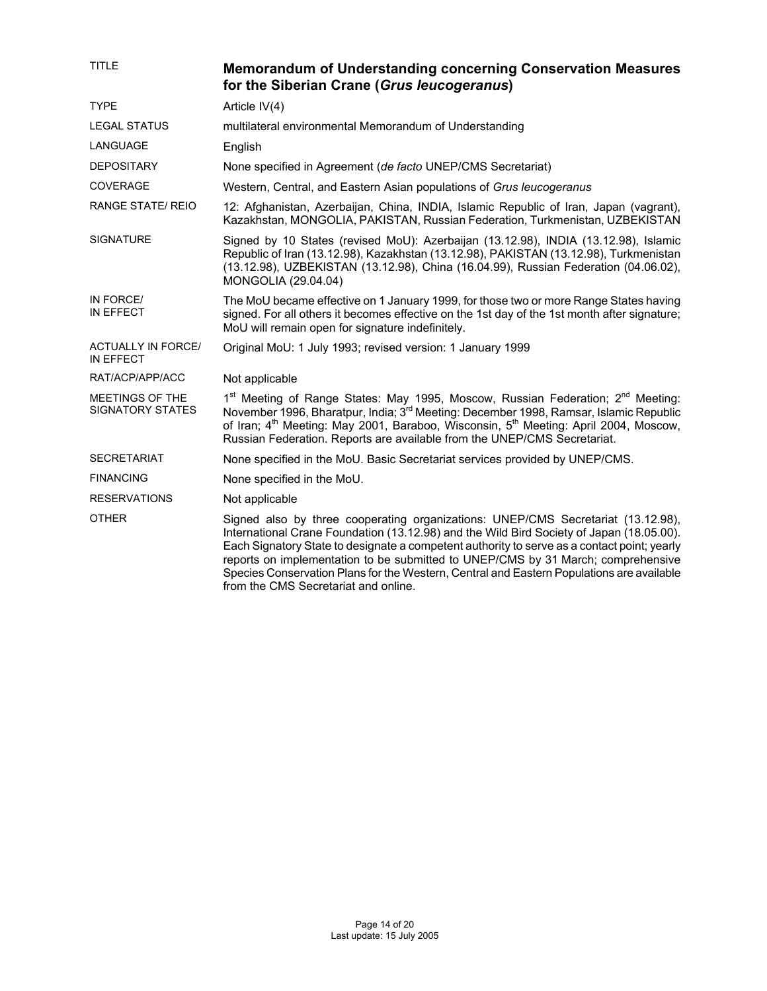| <b>TITLE</b>                               | <b>Memorandum of Understanding concerning Conservation Measures</b><br>for the Siberian Crane (Grus leucogeranus)                                                                                                                                                                                                                                                                                                                                                                                    |
|--------------------------------------------|------------------------------------------------------------------------------------------------------------------------------------------------------------------------------------------------------------------------------------------------------------------------------------------------------------------------------------------------------------------------------------------------------------------------------------------------------------------------------------------------------|
| <b>TYPE</b>                                | Article IV(4)                                                                                                                                                                                                                                                                                                                                                                                                                                                                                        |
| <b>LEGAL STATUS</b>                        | multilateral environmental Memorandum of Understanding                                                                                                                                                                                                                                                                                                                                                                                                                                               |
| LANGUAGE                                   | English                                                                                                                                                                                                                                                                                                                                                                                                                                                                                              |
| <b>DEPOSITARY</b>                          | None specified in Agreement (de facto UNEP/CMS Secretariat)                                                                                                                                                                                                                                                                                                                                                                                                                                          |
| <b>COVERAGE</b>                            | Western, Central, and Eastern Asian populations of Grus leucogeranus                                                                                                                                                                                                                                                                                                                                                                                                                                 |
| <b>RANGE STATE/ REIO</b>                   | 12: Afghanistan, Azerbaijan, China, INDIA, Islamic Republic of Iran, Japan (vagrant),<br>Kazakhstan, MONGOLIA, PAKISTAN, Russian Federation, Turkmenistan, UZBEKISTAN                                                                                                                                                                                                                                                                                                                                |
| <b>SIGNATURE</b>                           | Signed by 10 States (revised MoU): Azerbaijan (13.12.98), INDIA (13.12.98), Islamic<br>Republic of Iran (13.12.98), Kazakhstan (13.12.98), PAKISTAN (13.12.98), Turkmenistan<br>(13.12.98), UZBEKISTAN (13.12.98), China (16.04.99), Russian Federation (04.06.02),<br>MONGOLIA (29.04.04)                                                                                                                                                                                                           |
| IN FORCE/<br><b>IN EFFECT</b>              | The MoU became effective on 1 January 1999, for those two or more Range States having<br>signed. For all others it becomes effective on the 1st day of the 1st month after signature;<br>MoU will remain open for signature indefinitely.                                                                                                                                                                                                                                                            |
| <b>ACTUALLY IN FORCE/</b><br>IN EFFECT     | Original MoU: 1 July 1993; revised version: 1 January 1999                                                                                                                                                                                                                                                                                                                                                                                                                                           |
| RAT/ACP/APP/ACC                            | Not applicable                                                                                                                                                                                                                                                                                                                                                                                                                                                                                       |
| MEETINGS OF THE<br><b>SIGNATORY STATES</b> | 1 <sup>st</sup> Meeting of Range States: May 1995, Moscow, Russian Federation; 2 <sup>nd</sup> Meeting:<br>November 1996, Bharatpur, India; 3 <sup>rd</sup> Meeting: December 1998, Ramsar, Islamic Republic<br>of Iran; 4th Meeting: May 2001, Baraboo, Wisconsin, 5th Meeting: April 2004, Moscow,<br>Russian Federation. Reports are available from the UNEP/CMS Secretariat.                                                                                                                     |
| <b>SECRETARIAT</b>                         | None specified in the MoU. Basic Secretariat services provided by UNEP/CMS.                                                                                                                                                                                                                                                                                                                                                                                                                          |
| <b>FINANCING</b>                           | None specified in the MoU.                                                                                                                                                                                                                                                                                                                                                                                                                                                                           |
| <b>RESERVATIONS</b>                        | Not applicable                                                                                                                                                                                                                                                                                                                                                                                                                                                                                       |
| <b>OTHER</b>                               | Signed also by three cooperating organizations: UNEP/CMS Secretariat (13.12.98),<br>International Crane Foundation (13.12.98) and the Wild Bird Society of Japan (18.05.00).<br>Each Signatory State to designate a competent authority to serve as a contact point; yearly<br>reports on implementation to be submitted to UNEP/CMS by 31 March; comprehensive<br>Species Conservation Plans for the Western, Central and Eastern Populations are available<br>from the CMS Secretariat and online. |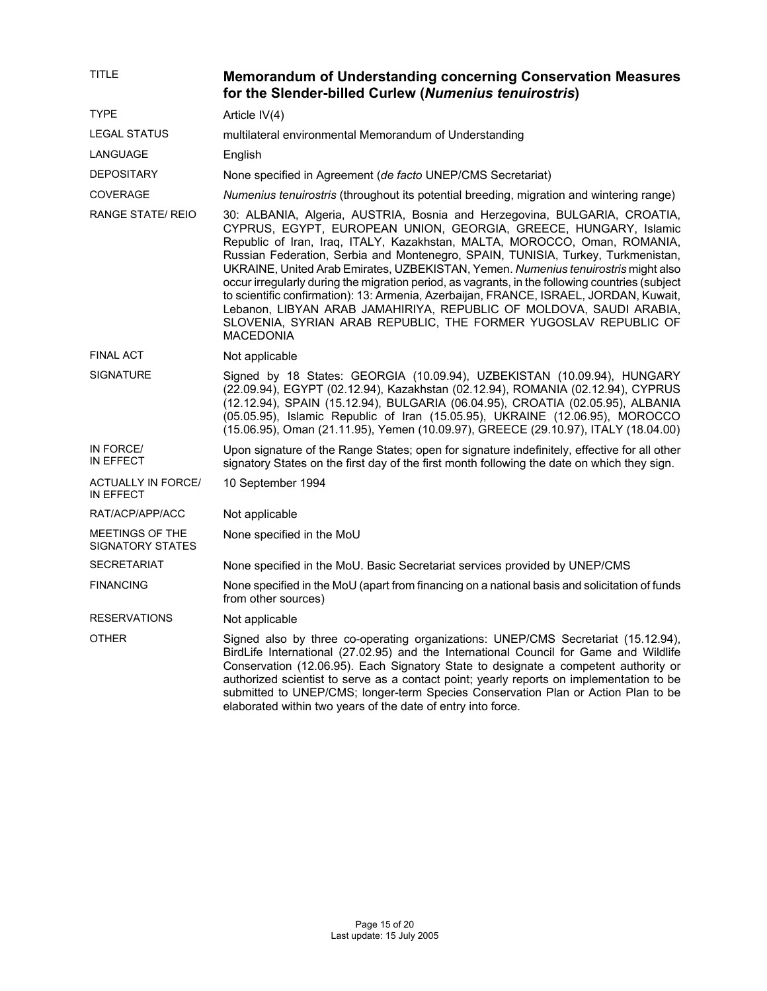| <b>TITLE</b>                               | <b>Memorandum of Understanding concerning Conservation Measures</b><br>for the Slender-billed Curlew (Numenius tenuirostris)                                                                                                                                                                                                                                                                                                                                                                                                                                                                                                                                                                                                                                   |
|--------------------------------------------|----------------------------------------------------------------------------------------------------------------------------------------------------------------------------------------------------------------------------------------------------------------------------------------------------------------------------------------------------------------------------------------------------------------------------------------------------------------------------------------------------------------------------------------------------------------------------------------------------------------------------------------------------------------------------------------------------------------------------------------------------------------|
| <b>TYPE</b>                                | Article IV(4)                                                                                                                                                                                                                                                                                                                                                                                                                                                                                                                                                                                                                                                                                                                                                  |
| <b>LEGAL STATUS</b>                        | multilateral environmental Memorandum of Understanding                                                                                                                                                                                                                                                                                                                                                                                                                                                                                                                                                                                                                                                                                                         |
| LANGUAGE                                   | English                                                                                                                                                                                                                                                                                                                                                                                                                                                                                                                                                                                                                                                                                                                                                        |
| <b>DEPOSITARY</b>                          | None specified in Agreement (de facto UNEP/CMS Secretariat)                                                                                                                                                                                                                                                                                                                                                                                                                                                                                                                                                                                                                                                                                                    |
| <b>COVERAGE</b>                            | Numenius tenuirostris (throughout its potential breeding, migration and wintering range)                                                                                                                                                                                                                                                                                                                                                                                                                                                                                                                                                                                                                                                                       |
| <b>RANGE STATE/ REIO</b>                   | 30: ALBANIA, Algeria, AUSTRIA, Bosnia and Herzegovina, BULGARIA, CROATIA,<br>CYPRUS, EGYPT, EUROPEAN UNION, GEORGIA, GREECE, HUNGARY, Islamic<br>Republic of Iran, Iraq, ITALY, Kazakhstan, MALTA, MOROCCO, Oman, ROMANIA,<br>Russian Federation, Serbia and Montenegro, SPAIN, TUNISIA, Turkey, Turkmenistan,<br>UKRAINE, United Arab Emirates, UZBEKISTAN, Yemen. Numenius tenuirostris might also<br>occur irregularly during the migration period, as vagrants, in the following countries (subject<br>to scientific confirmation): 13: Armenia, Azerbaijan, FRANCE, ISRAEL, JORDAN, Kuwait,<br>Lebanon, LIBYAN ARAB JAMAHIRIYA, REPUBLIC OF MOLDOVA, SAUDI ARABIA,<br>SLOVENIA, SYRIAN ARAB REPUBLIC, THE FORMER YUGOSLAV REPUBLIC OF<br><b>MACEDONIA</b> |
| <b>FINAL ACT</b>                           | Not applicable                                                                                                                                                                                                                                                                                                                                                                                                                                                                                                                                                                                                                                                                                                                                                 |
| <b>SIGNATURE</b>                           | Signed by 18 States: GEORGIA (10.09.94), UZBEKISTAN (10.09.94), HUNGARY<br>(22.09.94), EGYPT (02.12.94), Kazakhstan (02.12.94), ROMANIA (02.12.94), CYPRUS<br>(12.12.94), SPAIN (15.12.94), BULGARIA (06.04.95), CROATIA (02.05.95), ALBANIA<br>(05.05.95), Islamic Republic of Iran (15.05.95), UKRAINE (12.06.95), MOROCCO<br>(15.06.95), Oman (21.11.95), Yemen (10.09.97), GREECE (29.10.97), ITALY (18.04.00)                                                                                                                                                                                                                                                                                                                                             |
| IN FORCE/<br>IN EFFECT                     | Upon signature of the Range States; open for signature indefinitely, effective for all other<br>signatory States on the first day of the first month following the date on which they sign.                                                                                                                                                                                                                                                                                                                                                                                                                                                                                                                                                                    |
| <b>ACTUALLY IN FORCE/</b><br>IN EFFECT     | 10 September 1994                                                                                                                                                                                                                                                                                                                                                                                                                                                                                                                                                                                                                                                                                                                                              |
| RAT/ACP/APP/ACC                            | Not applicable                                                                                                                                                                                                                                                                                                                                                                                                                                                                                                                                                                                                                                                                                                                                                 |
| MEETINGS OF THE<br><b>SIGNATORY STATES</b> | None specified in the MoU                                                                                                                                                                                                                                                                                                                                                                                                                                                                                                                                                                                                                                                                                                                                      |
| <b>SECRETARIAT</b>                         | None specified in the MoU. Basic Secretariat services provided by UNEP/CMS                                                                                                                                                                                                                                                                                                                                                                                                                                                                                                                                                                                                                                                                                     |
| <b>FINANCING</b>                           | None specified in the MoU (apart from financing on a national basis and solicitation of funds<br>from other sources)                                                                                                                                                                                                                                                                                                                                                                                                                                                                                                                                                                                                                                           |
| <b>RESERVATIONS</b>                        | Not applicable                                                                                                                                                                                                                                                                                                                                                                                                                                                                                                                                                                                                                                                                                                                                                 |
| <b>OTHER</b>                               | Signed also by three co-operating organizations: UNEP/CMS Secretariat (15.12.94),<br>BirdLife International (27.02.95) and the International Council for Game and Wildlife<br>Conservation (12.06.95). Each Signatory State to designate a competent authority or<br>authorized scientist to serve as a contact point; yearly reports on implementation to be<br>submitted to UNEP/CMS; longer-term Species Conservation Plan or Action Plan to be<br>elaborated within two years of the date of entry into force.                                                                                                                                                                                                                                             |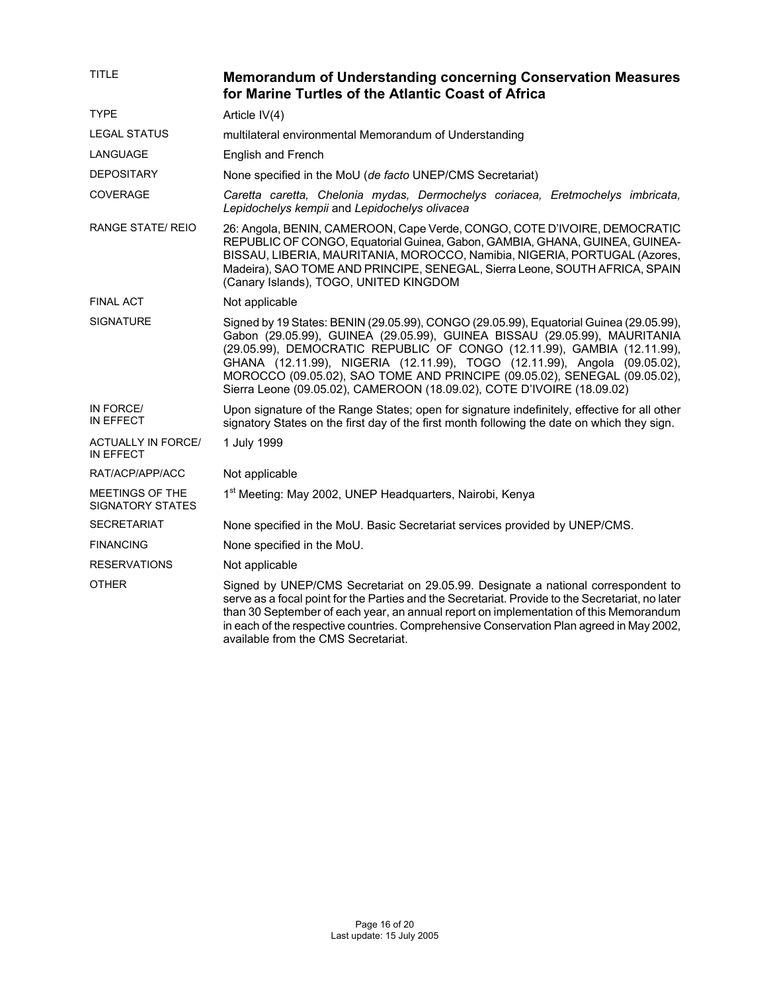| TITLE                                      | <b>Memorandum of Understanding concerning Conservation Measures</b><br>for Marine Turtles of the Atlantic Coast of Africa                                                                                                                                                                                                                                                                                                                                                          |
|--------------------------------------------|------------------------------------------------------------------------------------------------------------------------------------------------------------------------------------------------------------------------------------------------------------------------------------------------------------------------------------------------------------------------------------------------------------------------------------------------------------------------------------|
| <b>TYPE</b>                                | Article IV(4)                                                                                                                                                                                                                                                                                                                                                                                                                                                                      |
| LEGAL STATUS                               | multilateral environmental Memorandum of Understanding                                                                                                                                                                                                                                                                                                                                                                                                                             |
| LANGUAGE                                   | English and French                                                                                                                                                                                                                                                                                                                                                                                                                                                                 |
| <b>DEPOSITARY</b>                          | None specified in the MoU (de facto UNEP/CMS Secretariat)                                                                                                                                                                                                                                                                                                                                                                                                                          |
| <b>COVERAGE</b>                            | Caretta caretta, Chelonia mydas, Dermochelys coriacea, Eretmochelys imbricata,<br>Lepidochelys kempii and Lepidochelys olivacea                                                                                                                                                                                                                                                                                                                                                    |
| RANGE STATE/ REIO                          | 26: Angola, BENIN, CAMEROON, Cape Verde, CONGO, COTE D'IVOIRE, DEMOCRATIC<br>REPUBLIC OF CONGO, Equatorial Guinea, Gabon, GAMBIA, GHANA, GUINEA, GUINEA-<br>BISSAU, LIBERIA, MAURITANIA, MOROCCO, Namibia, NIGERIA, PORTUGAL (Azores,<br>Madeira), SAO TOME AND PRINCIPE, SENEGAL, Sierra Leone, SOUTH AFRICA, SPAIN<br>(Canary Islands), TOGO, UNITED KINGDOM                                                                                                                     |
| <b>FINAL ACT</b>                           | Not applicable                                                                                                                                                                                                                                                                                                                                                                                                                                                                     |
| <b>SIGNATURE</b>                           | Signed by 19 States: BENIN (29.05.99), CONGO (29.05.99), Equatorial Guinea (29.05.99),<br>Gabon (29.05.99), GUINEA (29.05.99), GUINEA BISSAU (29.05.99), MAURITANIA<br>(29.05.99), DEMOCRATIC REPUBLIC OF CONGO (12.11.99), GAMBIA (12.11.99),<br>GHANA (12.11.99), NIGERIA (12.11.99), TOGO (12.11.99), Angola (09.05.02),<br>MOROCCO (09.05.02), SAO TOME AND PRINCIPE (09.05.02), SENEGAL (09.05.02),<br>Sierra Leone (09.05.02), CAMEROON (18.09.02), COTE D'IVOIRE (18.09.02) |
| IN FORCE/<br>IN EFFECT                     | Upon signature of the Range States; open for signature indefinitely, effective for all other<br>signatory States on the first day of the first month following the date on which they sign.                                                                                                                                                                                                                                                                                        |
| <b>ACTUALLY IN FORCE/</b><br>IN EFFECT     | 1 July 1999                                                                                                                                                                                                                                                                                                                                                                                                                                                                        |
| RAT/ACP/APP/ACC                            | Not applicable                                                                                                                                                                                                                                                                                                                                                                                                                                                                     |
| MEETINGS OF THE<br><b>SIGNATORY STATES</b> | 1 <sup>st</sup> Meeting: May 2002, UNEP Headquarters, Nairobi, Kenya                                                                                                                                                                                                                                                                                                                                                                                                               |
| <b>SECRETARIAT</b>                         | None specified in the MoU. Basic Secretariat services provided by UNEP/CMS.                                                                                                                                                                                                                                                                                                                                                                                                        |
| <b>FINANCING</b>                           | None specified in the MoU.                                                                                                                                                                                                                                                                                                                                                                                                                                                         |
| <b>RESERVATIONS</b>                        | Not applicable                                                                                                                                                                                                                                                                                                                                                                                                                                                                     |
| <b>OTHER</b>                               | Signed by UNEP/CMS Secretariat on 29.05.99. Designate a national correspondent to<br>serve as a focal point for the Parties and the Secretariat. Provide to the Secretariat, no later<br>than 30 September of each year, an annual report on implementation of this Memorandum<br>in each of the respective countries. Comprehensive Conservation Plan agreed in May 2002,<br>available from the CMS Secretariat.                                                                  |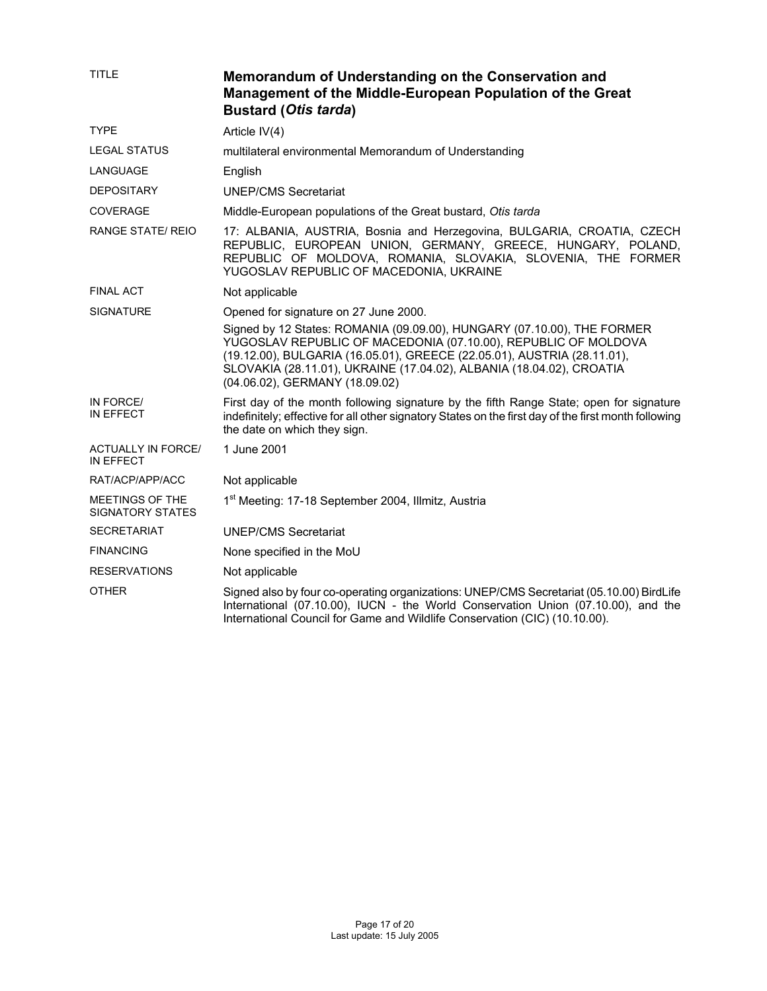| <b>TITLE</b>                                  | Memorandum of Understanding on the Conservation and<br>Management of the Middle-European Population of the Great<br><b>Bustard (Otis tarda)</b>                                                                                                                                                                                |
|-----------------------------------------------|--------------------------------------------------------------------------------------------------------------------------------------------------------------------------------------------------------------------------------------------------------------------------------------------------------------------------------|
| <b>TYPE</b>                                   | Article IV(4)                                                                                                                                                                                                                                                                                                                  |
| <b>LEGAL STATUS</b>                           | multilateral environmental Memorandum of Understanding                                                                                                                                                                                                                                                                         |
| LANGUAGE                                      | English                                                                                                                                                                                                                                                                                                                        |
| <b>DEPOSITARY</b>                             | <b>UNEP/CMS Secretariat</b>                                                                                                                                                                                                                                                                                                    |
| <b>COVERAGE</b>                               | Middle-European populations of the Great bustard, Otis tarda                                                                                                                                                                                                                                                                   |
| <b>RANGE STATE/ REIO</b>                      | 17: ALBANIA, AUSTRIA, Bosnia and Herzegovina, BULGARIA, CROATIA, CZECH<br>REPUBLIC, EUROPEAN UNION, GERMANY, GREECE, HUNGARY, POLAND,<br>REPUBLIC OF MOLDOVA, ROMANIA, SLOVAKIA, SLOVENIA, THE FORMER<br>YUGOSLAV REPUBLIC OF MACEDONIA, UKRAINE                                                                               |
| <b>FINAL ACT</b>                              | Not applicable                                                                                                                                                                                                                                                                                                                 |
| <b>SIGNATURE</b>                              | Opened for signature on 27 June 2000.                                                                                                                                                                                                                                                                                          |
|                                               | Signed by 12 States: ROMANIA (09.09.00), HUNGARY (07.10.00), THE FORMER<br>YUGOSLAV REPUBLIC OF MACEDONIA (07.10.00), REPUBLIC OF MOLDOVA<br>(19.12.00), BULGARIA (16.05.01), GREECE (22.05.01), AUSTRIA (28.11.01),<br>SLOVAKIA (28.11.01), UKRAINE (17.04.02), ALBANIA (18.04.02), CROATIA<br>(04.06.02), GERMANY (18.09.02) |
| IN FORCE/<br>IN EFFECT                        | First day of the month following signature by the fifth Range State; open for signature<br>indefinitely; effective for all other signatory States on the first day of the first month following<br>the date on which they sign.                                                                                                |
| <b>ACTUALLY IN FORCE/</b><br><b>IN EFFECT</b> | 1 June 2001                                                                                                                                                                                                                                                                                                                    |
| RAT/ACP/APP/ACC                               | Not applicable                                                                                                                                                                                                                                                                                                                 |
| MEETINGS OF THE<br><b>SIGNATORY STATES</b>    | 1 <sup>st</sup> Meeting: 17-18 September 2004, Illmitz, Austria                                                                                                                                                                                                                                                                |
| <b>SECRETARIAT</b>                            | <b>UNEP/CMS Secretariat</b>                                                                                                                                                                                                                                                                                                    |
| <b>FINANCING</b>                              | None specified in the MoU                                                                                                                                                                                                                                                                                                      |
| <b>RESERVATIONS</b>                           | Not applicable                                                                                                                                                                                                                                                                                                                 |
| <b>OTHER</b>                                  | Signed also by four co-operating organizations: UNEP/CMS Secretariat (05.10.00) BirdLife<br>International (07.10.00), IUCN - the World Conservation Union (07.10.00), and the<br>International Council for Game and Wildlife Conservation (CIC) (10.10.00).                                                                    |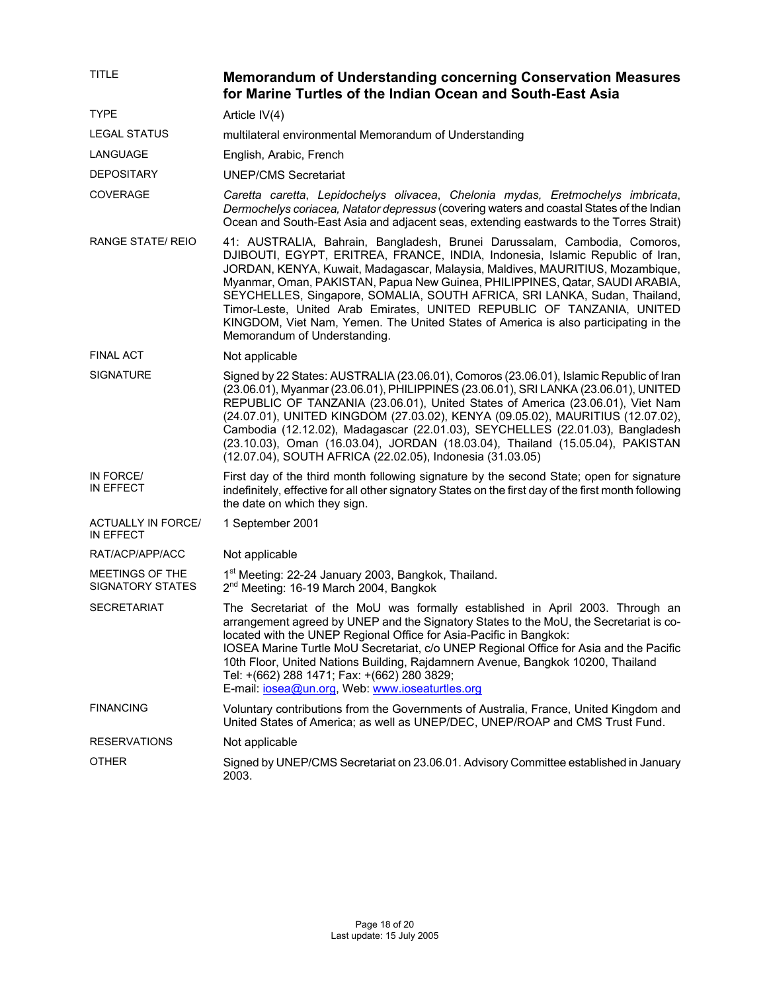| <b>TITLE</b>                               | <b>Memorandum of Understanding concerning Conservation Measures</b><br>for Marine Turtles of the Indian Ocean and South-East Asia                                                                                                                                                                                                                                                                                                                                                                                                                                                                         |
|--------------------------------------------|-----------------------------------------------------------------------------------------------------------------------------------------------------------------------------------------------------------------------------------------------------------------------------------------------------------------------------------------------------------------------------------------------------------------------------------------------------------------------------------------------------------------------------------------------------------------------------------------------------------|
| <b>TYPE</b>                                | Article IV(4)                                                                                                                                                                                                                                                                                                                                                                                                                                                                                                                                                                                             |
| <b>LEGAL STATUS</b>                        | multilateral environmental Memorandum of Understanding                                                                                                                                                                                                                                                                                                                                                                                                                                                                                                                                                    |
| LANGUAGE                                   | English, Arabic, French                                                                                                                                                                                                                                                                                                                                                                                                                                                                                                                                                                                   |
| <b>DEPOSITARY</b>                          | <b>UNEP/CMS Secretariat</b>                                                                                                                                                                                                                                                                                                                                                                                                                                                                                                                                                                               |
| <b>COVERAGE</b>                            | Caretta caretta, Lepidochelys olivacea, Chelonia mydas, Eretmochelys imbricata,<br>Dermochelys coriacea, Natator depressus (covering waters and coastal States of the Indian<br>Ocean and South-East Asia and adjacent seas, extending eastwards to the Torres Strait)                                                                                                                                                                                                                                                                                                                                    |
| <b>RANGE STATE/ REIO</b>                   | 41: AUSTRALIA, Bahrain, Bangladesh, Brunei Darussalam, Cambodia, Comoros,<br>DJIBOUTI, EGYPT, ERITREA, FRANCE, INDIA, Indonesia, Islamic Republic of Iran,<br>JORDAN, KENYA, Kuwait, Madagascar, Malaysia, Maldives, MAURITIUS, Mozambique,<br>Myanmar, Oman, PAKISTAN, Papua New Guinea, PHILIPPINES, Qatar, SAUDI ARABIA,<br>SEYCHELLES, Singapore, SOMALIA, SOUTH AFRICA, SRI LANKA, Sudan, Thailand,<br>Timor-Leste, United Arab Emirates, UNITED REPUBLIC OF TANZANIA, UNITED<br>KINGDOM, Viet Nam, Yemen. The United States of America is also participating in the<br>Memorandum of Understanding. |
| <b>FINAL ACT</b>                           | Not applicable                                                                                                                                                                                                                                                                                                                                                                                                                                                                                                                                                                                            |
| <b>SIGNATURE</b>                           | Signed by 22 States: AUSTRALIA (23.06.01), Comoros (23.06.01), Islamic Republic of Iran<br>(23.06.01), Myanmar (23.06.01), PHILIPPINES (23.06.01), SRI LANKA (23.06.01), UNITED<br>REPUBLIC OF TANZANIA (23.06.01), United States of America (23.06.01), Viet Nam<br>(24.07.01), UNITED KINGDOM (27.03.02), KENYA (09.05.02), MAURITIUS (12.07.02),<br>Cambodia (12.12.02), Madagascar (22.01.03), SEYCHELLES (22.01.03), Bangladesh<br>(23.10.03), Oman (16.03.04), JORDAN (18.03.04), Thailand (15.05.04), PAKISTAN<br>(12.07.04), SOUTH AFRICA (22.02.05), Indonesia (31.03.05)                        |
| IN FORCE/<br>IN EFFECT                     | First day of the third month following signature by the second State; open for signature<br>indefinitely, effective for all other signatory States on the first day of the first month following<br>the date on which they sign.                                                                                                                                                                                                                                                                                                                                                                          |
| ACTUALLY IN FORCE/<br>IN EFFECT            | 1 September 2001                                                                                                                                                                                                                                                                                                                                                                                                                                                                                                                                                                                          |
| RAT/ACP/APP/ACC                            | Not applicable                                                                                                                                                                                                                                                                                                                                                                                                                                                                                                                                                                                            |
| MEETINGS OF THE<br><b>SIGNATORY STATES</b> | 1 <sup>st</sup> Meeting: 22-24 January 2003, Bangkok, Thailand.<br>2 <sup>nd</sup> Meeting: 16-19 March 2004, Bangkok                                                                                                                                                                                                                                                                                                                                                                                                                                                                                     |
| <b>SECRETARIAT</b>                         | The Secretariat of the MoU was formally established in April 2003. Through an<br>arrangement agreed by UNEP and the Signatory States to the MoU, the Secretariat is co-<br>located with the UNEP Regional Office for Asia-Pacific in Bangkok:<br>IOSEA Marine Turtle MoU Secretariat, c/o UNEP Regional Office for Asia and the Pacific<br>10th Floor, United Nations Building, Rajdamnern Avenue, Bangkok 10200, Thailand<br>Tel: +(662) 288 1471; Fax: +(662) 280 3829;<br>E-mail: iosea@un.org, Web: www.ioseaturtles.org                                                                              |
| <b>FINANCING</b>                           | Voluntary contributions from the Governments of Australia, France, United Kingdom and<br>United States of America; as well as UNEP/DEC, UNEP/ROAP and CMS Trust Fund.                                                                                                                                                                                                                                                                                                                                                                                                                                     |
| <b>RESERVATIONS</b>                        | Not applicable                                                                                                                                                                                                                                                                                                                                                                                                                                                                                                                                                                                            |
| <b>OTHER</b>                               | Signed by UNEP/CMS Secretariat on 23.06.01. Advisory Committee established in January<br>2003.                                                                                                                                                                                                                                                                                                                                                                                                                                                                                                            |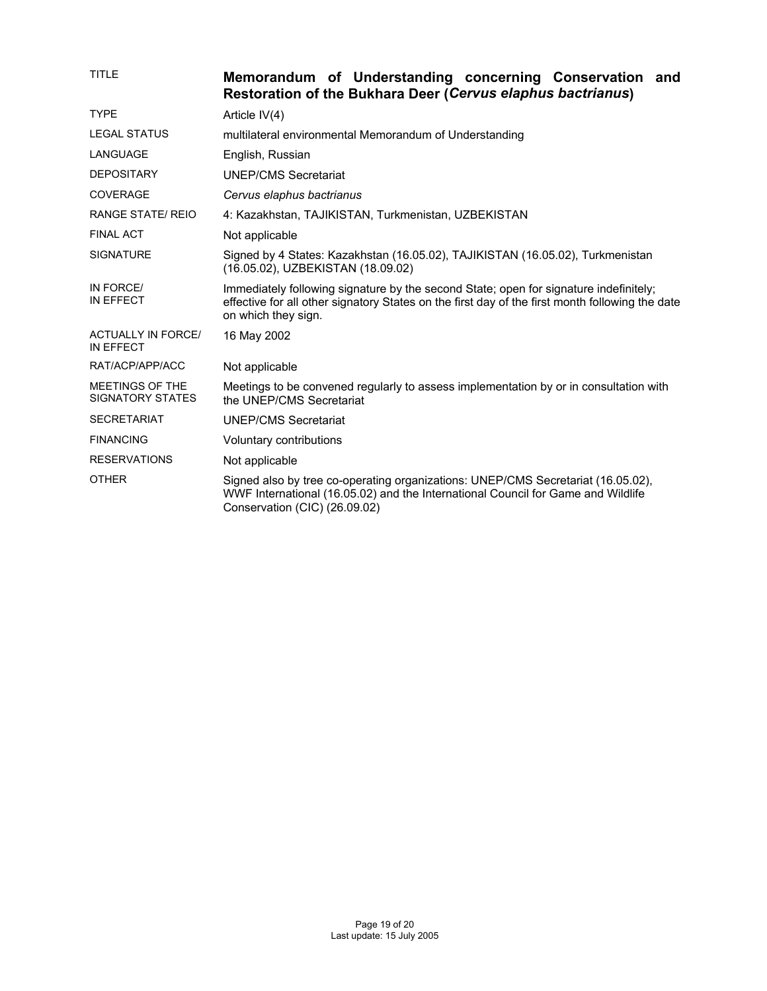| <b>TITLE</b>                                  | Memorandum of Understanding concerning Conservation and<br><b>Restoration of the Bukhara Deer (Cervus elaphus bactrianus)</b>                                                                                   |
|-----------------------------------------------|-----------------------------------------------------------------------------------------------------------------------------------------------------------------------------------------------------------------|
| <b>TYPE</b>                                   | Article $IV(4)$                                                                                                                                                                                                 |
| <b>LEGAL STATUS</b>                           | multilateral environmental Memorandum of Understanding                                                                                                                                                          |
| <b>LANGUAGE</b>                               | English, Russian                                                                                                                                                                                                |
| <b>DEPOSITARY</b>                             | <b>UNEP/CMS Secretariat</b>                                                                                                                                                                                     |
| <b>COVERAGE</b>                               | Cervus elaphus bactrianus                                                                                                                                                                                       |
| <b>RANGE STATE/ REIO</b>                      | 4: Kazakhstan, TAJIKISTAN, Turkmenistan, UZBEKISTAN                                                                                                                                                             |
| <b>FINAL ACT</b>                              | Not applicable                                                                                                                                                                                                  |
| <b>SIGNATURE</b>                              | Signed by 4 States: Kazakhstan (16.05.02), TAJIKISTAN (16.05.02), Turkmenistan<br>(16.05.02), UZBEKISTAN (18.09.02)                                                                                             |
| IN FORCE/<br>IN EFFECT                        | Immediately following signature by the second State; open for signature indefinitely;<br>effective for all other signatory States on the first day of the first month following the date<br>on which they sign. |
| <b>ACTUALLY IN FORCE/</b><br><b>IN EFFECT</b> | 16 May 2002                                                                                                                                                                                                     |
| RAT/ACP/APP/ACC                               | Not applicable                                                                                                                                                                                                  |
| MEETINGS OF THE<br><b>SIGNATORY STATES</b>    | Meetings to be convened regularly to assess implementation by or in consultation with<br>the UNEP/CMS Secretariat                                                                                               |
| <b>SECRETARIAT</b>                            | <b>UNEP/CMS Secretariat</b>                                                                                                                                                                                     |
| <b>FINANCING</b>                              | Voluntary contributions                                                                                                                                                                                         |
| <b>RESERVATIONS</b>                           | Not applicable                                                                                                                                                                                                  |
| <b>OTHER</b>                                  | Signed also by tree co-operating organizations: UNEP/CMS Secretariat (16.05.02),<br>WWF International (16.05.02) and the International Council for Game and Wildlife<br>Conservation (CIC) (26.09.02)           |